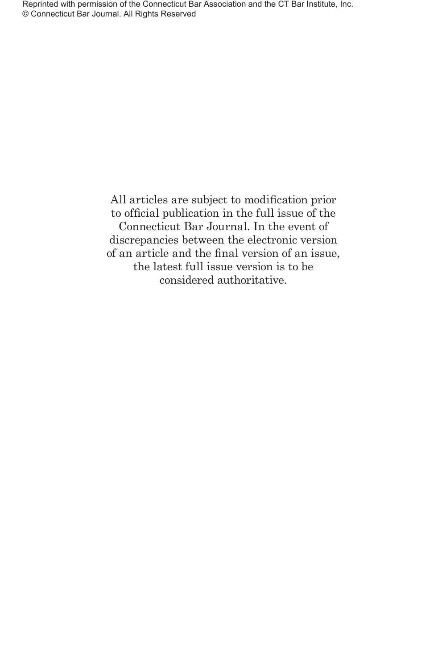All articles are subject to modification prior to official publication in the full issue of the Connecticut Bar Journal. In the event of discrepancies between the electronic version of an article and the final version of an issue, the latest full issue version is to be considered authoritative.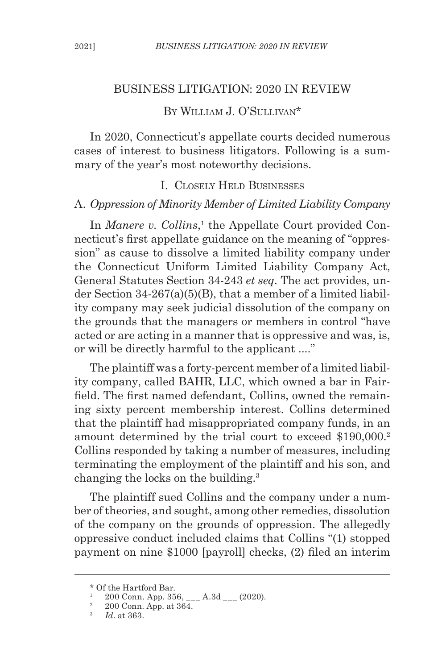#### BUSINESS LITIGATION: 2020 IN REVIEW

### By William J. O'Sullivan\*

In 2020, Connecticut's appellate courts decided numerous cases of interest to business litigators. Following is a summary of the year's most noteworthy decisions.

#### I. Closely Held Businesses

#### A. *Oppression of Minority Member of Limited Liability Company*

In *Manere v. Collins*,<sup>1</sup> the Appellate Court provided Connecticut's first appellate guidance on the meaning of "oppression" as cause to dissolve a limited liability company under the Connecticut Uniform Limited Liability Company Act, General Statutes Section 34-243 *et seq*. The act provides, under Section 34-267(a)(5)(B), that a member of a limited liability company may seek judicial dissolution of the company on the grounds that the managers or members in control "have acted or are acting in a manner that is oppressive and was, is, or will be directly harmful to the applicant ...."

The plaintiff was a forty-percent member of a limited liability company, called BAHR, LLC, which owned a bar in Fairfield. The first named defendant, Collins, owned the remaining sixty percent membership interest. Collins determined that the plaintiff had misappropriated company funds, in an amount determined by the trial court to exceed \$190,000.<sup>2</sup> Collins responded by taking a number of measures, including terminating the employment of the plaintiff and his son, and changing the locks on the building.3

The plaintiff sued Collins and the company under a number of theories, and sought, among other remedies, dissolution of the company on the grounds of oppression. The allegedly oppressive conduct included claims that Collins "(1) stopped payment on nine \$1000 [payroll] checks, (2) filed an interim

<sup>\*</sup> Of the Hartford Bar.

<sup>&</sup>lt;sup>1</sup> 200 Conn. App. 356, \_\_\_ A.3d \_\_\_ (2020).

 $^{\rm 2}$  200 Conn. App. at 364.

<sup>3</sup> *Id*. at 363.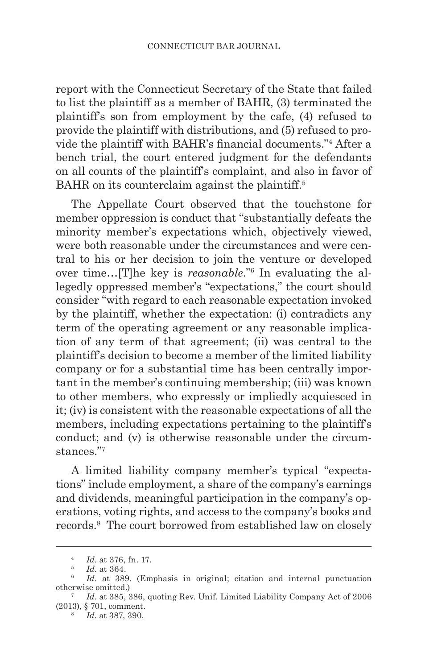report with the Connecticut Secretary of the State that failed to list the plaintiff as a member of BAHR, (3) terminated the plaintiff's son from employment by the cafe, (4) refused to provide the plaintiff with distributions, and (5) refused to provide the plaintiff with BAHR's financial documents."<sup>4</sup> After a bench trial, the court entered judgment for the defendants on all counts of the plaintiff's complaint, and also in favor of BAHR on its counterclaim against the plaintiff.<sup>5</sup>

The Appellate Court observed that the touchstone for member oppression is conduct that "substantially defeats the minority member's expectations which, objectively viewed, were both reasonable under the circumstances and were central to his or her decision to join the venture or developed over time…[T]he key is *reasonable*."6 In evaluating the allegedly oppressed member's "expectations," the court should consider "with regard to each reasonable expectation invoked by the plaintiff, whether the expectation: (i) contradicts any term of the operating agreement or any reasonable implication of any term of that agreement; (ii) was central to the plaintiff's decision to become a member of the limited liability company or for a substantial time has been centrally important in the member's continuing membership; (iii) was known to other members, who expressly or impliedly acquiesced in it; (iv) is consistent with the reasonable expectations of all the members, including expectations pertaining to the plaintiff's conduct; and (v) is otherwise reasonable under the circumstances."7

A limited liability company member's typical "expectations" include employment, a share of the company's earnings and dividends, meaningful participation in the company's operations, voting rights, and access to the company's books and records.8 The court borrowed from established law on closely

<sup>4</sup> *Id*. at 376, fn. 17.

<sup>5</sup> *Id*. at 364.

<sup>&</sup>lt;sup>6</sup> *Id.* at 389. (Emphasis in original; citation and internal punctuation otherwise omitted.)

<sup>7</sup> *Id*. at 385, 386, quoting Rev. Unif. Limited Liability Company Act of 2006 (2013), § 701, comment.

<sup>8</sup> *Id*. at 387, 390.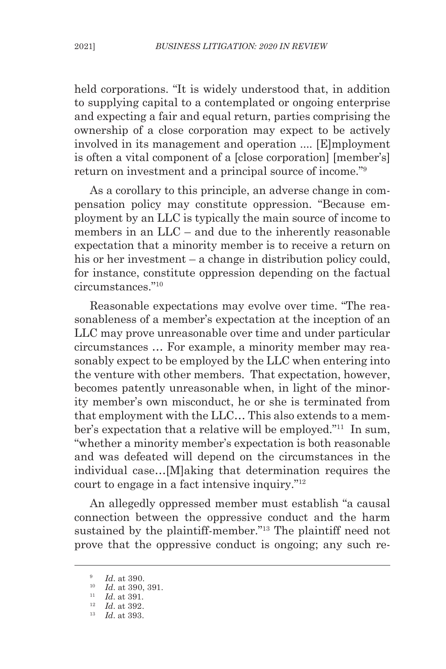held corporations. "It is widely understood that, in addition to supplying capital to a contemplated or ongoing enterprise and expecting a fair and equal return, parties comprising the ownership of a close corporation may expect to be actively involved in its management and operation .... [E]mployment is often a vital component of a [close corporation] [member's] return on investment and a principal source of income."9

As a corollary to this principle, an adverse change in compensation policy may constitute oppression. "Because employment by an LLC is typically the main source of income to members in an LLC – and due to the inherently reasonable expectation that a minority member is to receive a return on his or her investment – a change in distribution policy could, for instance, constitute oppression depending on the factual circumstances."10

Reasonable expectations may evolve over time. "The reasonableness of a member's expectation at the inception of an LLC may prove unreasonable over time and under particular circumstances … For example, a minority member may reasonably expect to be employed by the LLC when entering into the venture with other members. That expectation, however, becomes patently unreasonable when, in light of the minority member's own misconduct, he or she is terminated from that employment with the LLC… This also extends to a member's expectation that a relative will be employed."11 In sum, "whether a minority member's expectation is both reasonable and was defeated will depend on the circumstances in the individual case…[M]aking that determination requires the court to engage in a fact intensive inquiry."12

An allegedly oppressed member must establish "a causal connection between the oppressive conduct and the harm sustained by the plaintiff-member."<sup>13</sup> The plaintiff need not prove that the oppressive conduct is ongoing; any such re-

<sup>9</sup> *Id*. at 390.

<sup>10</sup> *Id*. at 390, 391.

<sup>11</sup> *Id*. at 391.

<sup>12</sup> *Id*. at 392.

<sup>13</sup> *Id*. at 393.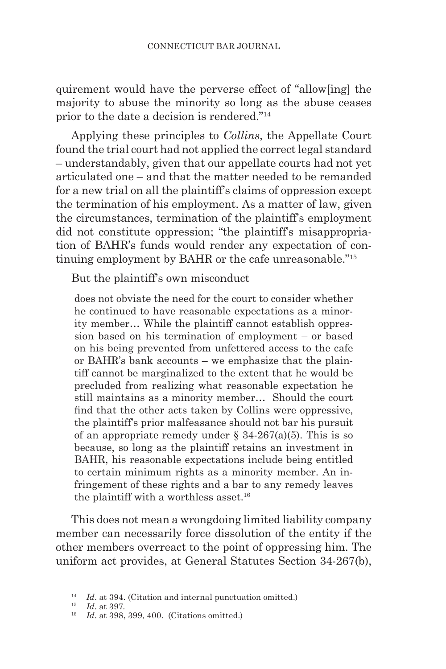quirement would have the perverse effect of "allow[ing] the majority to abuse the minority so long as the abuse ceases prior to the date a decision is rendered."14

Applying these principles to *Collins*, the Appellate Court found the trial court had not applied the correct legal standard – understandably, given that our appellate courts had not yet articulated one – and that the matter needed to be remanded for a new trial on all the plaintiff's claims of oppression except the termination of his employment. As a matter of law, given the circumstances, termination of the plaintiff's employment did not constitute oppression; "the plaintiff's misappropriation of BAHR's funds would render any expectation of continuing employment by BAHR or the cafe unreasonable."15

But the plaintiff's own misconduct

does not obviate the need for the court to consider whether he continued to have reasonable expectations as a minority member… While the plaintiff cannot establish oppression based on his termination of employment – or based on his being prevented from unfettered access to the cafe or BAHR's bank accounts – we emphasize that the plaintiff cannot be marginalized to the extent that he would be precluded from realizing what reasonable expectation he still maintains as a minority member… Should the court find that the other acts taken by Collins were oppressive, the plaintiff's prior malfeasance should not bar his pursuit of an appropriate remedy under  $\S$  34-267(a)(5). This is so because, so long as the plaintiff retains an investment in BAHR, his reasonable expectations include being entitled to certain minimum rights as a minority member. An infringement of these rights and a bar to any remedy leaves the plaintiff with a worthless asset.<sup>16</sup>

This does not mean a wrongdoing limited liability company member can necessarily force dissolution of the entity if the other members overreact to the point of oppressing him. The uniform act provides, at General Statutes Section 34-267(b),

<sup>14</sup> *Id*. at 394. (Citation and internal punctuation omitted.)

<sup>15</sup> *Id*. at 397.

<sup>16</sup> *Id*. at 398, 399, 400. (Citations omitted.)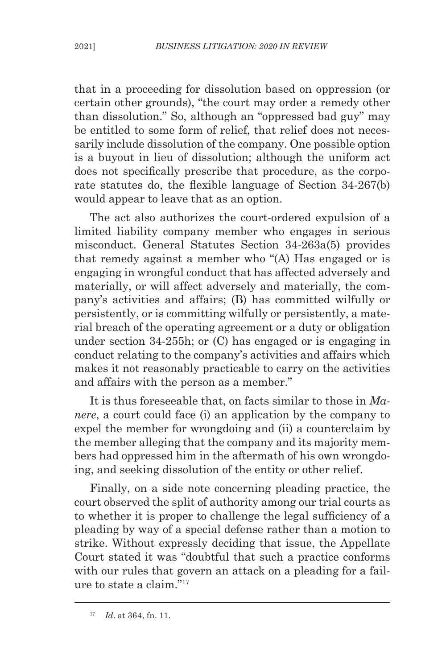that in a proceeding for dissolution based on oppression (or certain other grounds), "the court may order a remedy other than dissolution." So, although an "oppressed bad guy" may be entitled to some form of relief, that relief does not necessarily include dissolution of the company. One possible option is a buyout in lieu of dissolution; although the uniform act does not specifically prescribe that procedure, as the corporate statutes do, the flexible language of Section 34-267(b) would appear to leave that as an option.

The act also authorizes the court-ordered expulsion of a limited liability company member who engages in serious misconduct. General Statutes Section 34-263a(5) provides that remedy against a member who "(A) Has engaged or is engaging in wrongful conduct that has affected adversely and materially, or will affect adversely and materially, the company's activities and affairs; (B) has committed wilfully or persistently, or is committing wilfully or persistently, a material breach of the operating agreement or a duty or obligation under section 34-255h; or (C) has engaged or is engaging in conduct relating to the company's activities and affairs which makes it not reasonably practicable to carry on the activities and affairs with the person as a member."

It is thus foreseeable that, on facts similar to those in *Manere*, a court could face (i) an application by the company to expel the member for wrongdoing and (ii) a counterclaim by the member alleging that the company and its majority members had oppressed him in the aftermath of his own wrongdoing, and seeking dissolution of the entity or other relief.

Finally, on a side note concerning pleading practice, the court observed the split of authority among our trial courts as to whether it is proper to challenge the legal sufficiency of a pleading by way of a special defense rather than a motion to strike. Without expressly deciding that issue, the Appellate Court stated it was "doubtful that such a practice conforms with our rules that govern an attack on a pleading for a failure to state a claim."17

<sup>17</sup> *Id*. at 364, fn. 11.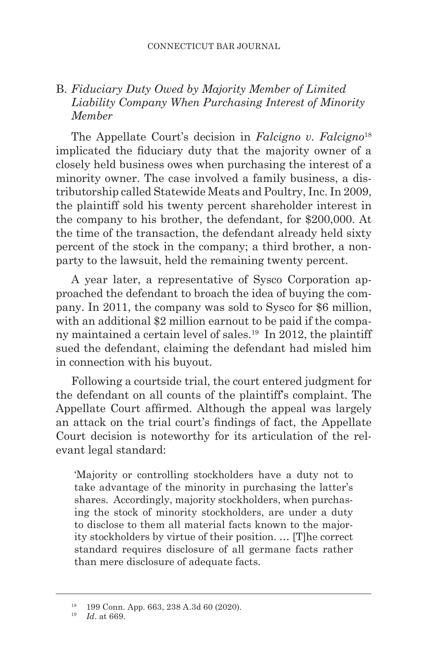# B. *Fiduciary Duty Owed by Majority Member of Limited Liability Company When Purchasing Interest of Minority Member*

The Appellate Court's decision in *Falcigno v. Falcigno*<sup>18</sup> implicated the fiduciary duty that the majority owner of a closely held business owes when purchasing the interest of a minority owner. The case involved a family business, a distributorship called Statewide Meats and Poultry, Inc. In 2009, the plaintiff sold his twenty percent shareholder interest in the company to his brother, the defendant, for \$200,000. At the time of the transaction, the defendant already held sixty percent of the stock in the company; a third brother, a nonparty to the lawsuit, held the remaining twenty percent.

A year later, a representative of Sysco Corporation approached the defendant to broach the idea of buying the company. In 2011, the company was sold to Sysco for \$6 million, with an additional \$2 million earnout to be paid if the company maintained a certain level of sales.19 In 2012, the plaintiff sued the defendant, claiming the defendant had misled him in connection with his buyout.

Following a courtside trial, the court entered judgment for the defendant on all counts of the plaintiff's complaint. The Appellate Court affirmed. Although the appeal was largely an attack on the trial court's findings of fact, the Appellate Court decision is noteworthy for its articulation of the relevant legal standard:

'Majority or controlling stockholders have a duty not to take advantage of the minority in purchasing the latter's shares. Accordingly, majority stockholders, when purchasing the stock of minority stockholders, are under a duty to disclose to them all material facts known to the majority stockholders by virtue of their position. … [T]he correct standard requires disclosure of all germane facts rather than mere disclosure of adequate facts.

<sup>18</sup> 199 Conn. App. 663, 238 A.3d 60 (2020).

<sup>19</sup> *Id*. at 669.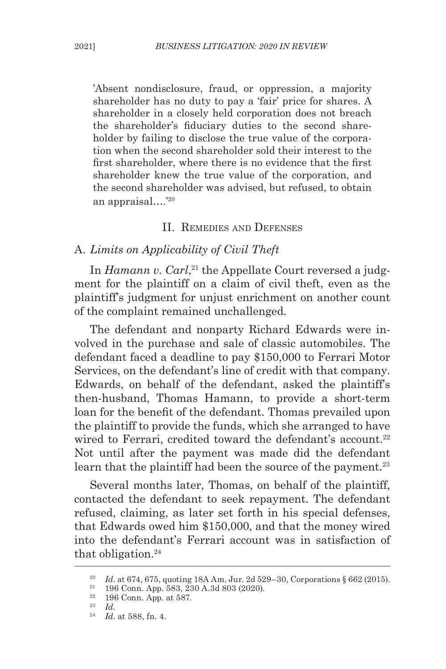'Absent nondisclosure, fraud, or oppression, a majority shareholder has no duty to pay a 'fair' price for shares. A shareholder in a closely held corporation does not breach the shareholder's fiduciary duties to the second shareholder by failing to disclose the true value of the corporation when the second shareholder sold their interest to the first shareholder, where there is no evidence that the first shareholder knew the true value of the corporation, and the second shareholder was advised, but refused, to obtain an appraisal….'20

#### II. Remedies and Defenses

# A. *Limits on Applicability of Civil Theft*

In *Hamann v. Carl*, 21 the Appellate Court reversed a judgment for the plaintiff on a claim of civil theft, even as the plaintiff's judgment for unjust enrichment on another count of the complaint remained unchallenged.

The defendant and nonparty Richard Edwards were involved in the purchase and sale of classic automobiles. The defendant faced a deadline to pay \$150,000 to Ferrari Motor Services, on the defendant's line of credit with that company. Edwards, on behalf of the defendant, asked the plaintiff's then-husband, Thomas Hamann, to provide a short-term loan for the benefit of the defendant. Thomas prevailed upon the plaintiff to provide the funds, which she arranged to have wired to Ferrari, credited toward the defendant's account.<sup>22</sup> Not until after the payment was made did the defendant learn that the plaintiff had been the source of the payment.<sup>23</sup>

Several months later, Thomas, on behalf of the plaintiff, contacted the defendant to seek repayment. The defendant refused, claiming, as later set forth in his special defenses, that Edwards owed him \$150,000, and that the money wired into the defendant's Ferrari account was in satisfaction of that obligation.<sup>24</sup>

<sup>&</sup>lt;sup>20</sup> *Id.* at 674, 675, quoting 18A Am. Jur. 2d 529–30, Corporations § 662 (2015).<br><sup>21</sup> 196 Conn. App. 583, 230 A, 3d 803 (2020).

<sup>&</sup>lt;sup>21</sup> 196 Conn. App. 583, 230 A.3d 803 (2020).

 $\frac{22}{23}$  196 Conn. App. at 587.

<sup>23</sup> *Id*.

<sup>24</sup> *Id*. at 588, fn. 4.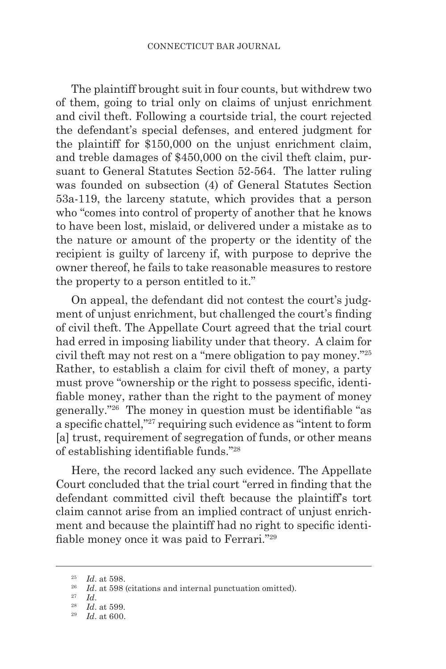The plaintiff brought suit in four counts, but withdrew two of them, going to trial only on claims of unjust enrichment and civil theft. Following a courtside trial, the court rejected the defendant's special defenses, and entered judgment for the plaintiff for \$150,000 on the unjust enrichment claim, and treble damages of \$450,000 on the civil theft claim, pursuant to General Statutes Section 52-564. The latter ruling was founded on subsection (4) of General Statutes Section 53a-119, the larceny statute, which provides that a person who "comes into control of property of another that he knows to have been lost, mislaid, or delivered under a mistake as to the nature or amount of the property or the identity of the recipient is guilty of larceny if, with purpose to deprive the owner thereof, he fails to take reasonable measures to restore the property to a person entitled to it."

On appeal, the defendant did not contest the court's judgment of unjust enrichment, but challenged the court's finding of civil theft. The Appellate Court agreed that the trial court had erred in imposing liability under that theory. A claim for civil theft may not rest on a "mere obligation to pay money."25 Rather, to establish a claim for civil theft of money, a party must prove "ownership or the right to possess specific, identifiable money, rather than the right to the payment of money generally."26 The money in question must be identifiable "as a specific chattel,"<sup>27</sup> requiring such evidence as "intent to form [a] trust, requirement of segregation of funds, or other means of establishing identifiable funds."<sup>28</sup>

Here, the record lacked any such evidence. The Appellate Court concluded that the trial court "erred in finding that the defendant committed civil theft because the plaintiff's tort claim cannot arise from an implied contract of unjust enrichment and because the plaintiff had no right to specific identifiable money once it was paid to Ferrari."<sup>29</sup>

<sup>25</sup> *Id*. at 598.

<sup>&</sup>lt;sup>26</sup> *Id.* at 598 (citations and internal punctuation omitted).

<sup>27</sup> *Id*.

<sup>28</sup> *Id*. at 599.

<sup>29</sup> *Id*. at 600.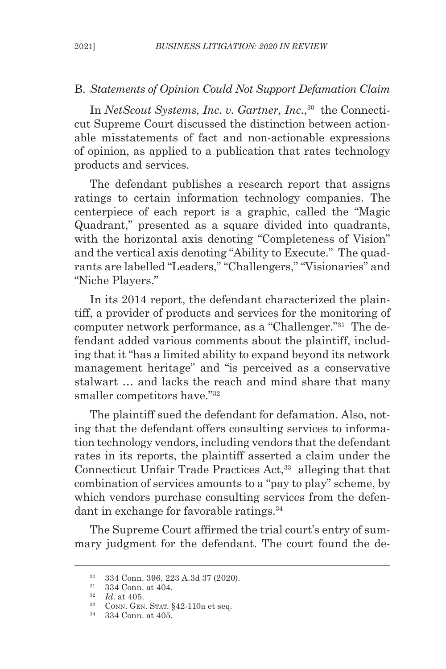#### B. *Statements of Opinion Could Not Support Defamation Claim*

In *NetScout Systems, Inc. v. Gartner, Inc.*,<sup>30</sup> the Connecticut Supreme Court discussed the distinction between actionable misstatements of fact and non-actionable expressions of opinion, as applied to a publication that rates technology products and services.

The defendant publishes a research report that assigns ratings to certain information technology companies. The centerpiece of each report is a graphic, called the "Magic Quadrant," presented as a square divided into quadrants, with the horizontal axis denoting "Completeness of Vision" and the vertical axis denoting "Ability to Execute." The quadrants are labelled "Leaders," "Challengers," "Visionaries" and "Niche Players."

In its 2014 report, the defendant characterized the plaintiff, a provider of products and services for the monitoring of computer network performance, as a "Challenger."31 The defendant added various comments about the plaintiff, including that it "has a limited ability to expand beyond its network management heritage" and "is perceived as a conservative stalwart … and lacks the reach and mind share that many smaller competitors have."32

The plaintiff sued the defendant for defamation. Also, noting that the defendant offers consulting services to information technology vendors, including vendors that the defendant rates in its reports, the plaintiff asserted a claim under the Connecticut Unfair Trade Practices Act,<sup>33</sup> alleging that that combination of services amounts to a "pay to play" scheme, by which vendors purchase consulting services from the defendant in exchange for favorable ratings.<sup>34</sup>

The Supreme Court affirmed the trial court's entry of summary judgment for the defendant. The court found the de-

<sup>30</sup> 334 Conn. 396, 223 A.3d 37 (2020).

<sup>31</sup> 334 Conn. at 404.

<sup>32</sup> *Id*. at 405.

 $33$  CONN. GEN. STAT.  $§42-110a$  et seq.

<sup>34</sup> 334 Conn. at 405.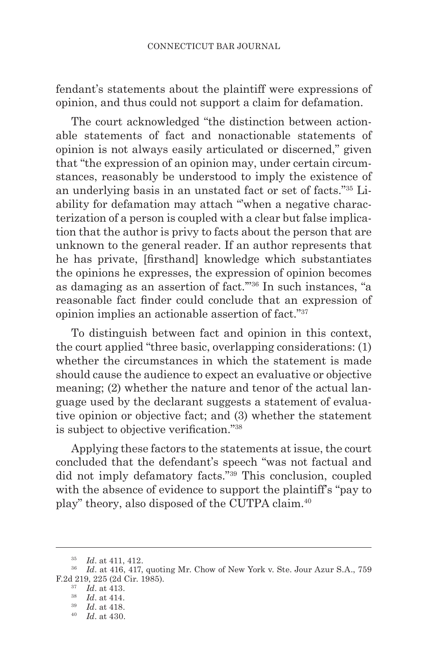fendant's statements about the plaintiff were expressions of opinion, and thus could not support a claim for defamation.

The court acknowledged "the distinction between actionable statements of fact and nonactionable statements of opinion is not always easily articulated or discerned," given that "the expression of an opinion may, under certain circumstances, reasonably be understood to imply the existence of an underlying basis in an unstated fact or set of facts."35 Liability for defamation may attach "'when a negative characterization of a person is coupled with a clear but false implication that the author is privy to facts about the person that are unknown to the general reader. If an author represents that he has private, [firsthand] knowledge which substantiates the opinions he expresses, the expression of opinion becomes as damaging as an assertion of fact.'"36 In such instances, "a reasonable fact finder could conclude that an expression of opinion implies an actionable assertion of fact."37

To distinguish between fact and opinion in this context, the court applied "three basic, overlapping considerations: (1) whether the circumstances in which the statement is made should cause the audience to expect an evaluative or objective meaning; (2) whether the nature and tenor of the actual language used by the declarant suggests a statement of evaluative opinion or objective fact; and (3) whether the statement is subject to objective verification."38

Applying these factors to the statements at issue, the court concluded that the defendant's speech "was not factual and did not imply defamatory facts."39 This conclusion, coupled with the absence of evidence to support the plaintiff's "pay to play" theory, also disposed of the CUTPA claim.40

<sup>35</sup> *Id*. at 411, 412.

<sup>&</sup>lt;sup>36</sup> *Id.* at 416, 417, quoting Mr. Chow of New York v. Ste. Jour Azur S.A., 759 F.2d 219, 225 (2d Cir. 1985).

<sup>37</sup> *Id*. at 413.

<sup>38</sup> *Id*. at 414.

<sup>39</sup> *Id*. at 418.

<sup>40</sup> *Id*. at 430.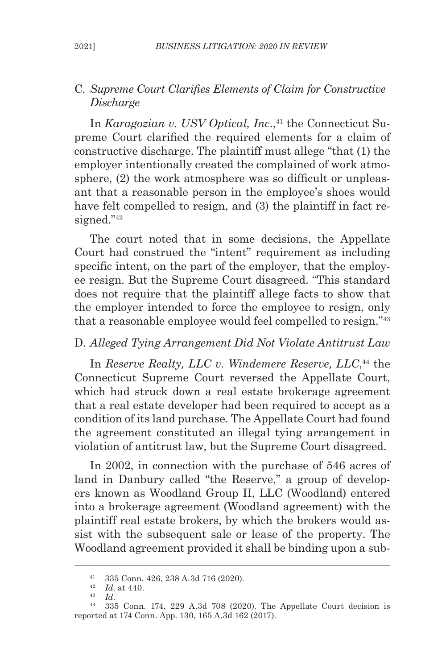## C. *Supreme Court Clarifies Elements of Claim for Constructive Discharge*

In *Karagozian v. USV Optical, Inc.*<sup>41</sup> the Connecticut Supreme Court clarified the required elements for a claim of constructive discharge. The plaintiff must allege "that (1) the employer intentionally created the complained of work atmosphere, (2) the work atmosphere was so difficult or unpleasant that a reasonable person in the employee's shoes would have felt compelled to resign, and (3) the plaintiff in fact resigned."<sup>42</sup>

The court noted that in some decisions, the Appellate Court had construed the "intent" requirement as including specific intent, on the part of the employer, that the employee resign. But the Supreme Court disagreed. "This standard does not require that the plaintiff allege facts to show that the employer intended to force the employee to resign, only that a reasonable employee would feel compelled to resign."43

# D. *Alleged Tying Arrangement Did Not Violate Antitrust Law*

In *Reserve Realty, LLC v. Windemere Reserve, LLC*, 44 the Connecticut Supreme Court reversed the Appellate Court, which had struck down a real estate brokerage agreement that a real estate developer had been required to accept as a condition of its land purchase. The Appellate Court had found the agreement constituted an illegal tying arrangement in violation of antitrust law, but the Supreme Court disagreed.

In 2002, in connection with the purchase of 546 acres of land in Danbury called "the Reserve," a group of developers known as Woodland Group II, LLC (Woodland) entered into a brokerage agreement (Woodland agreement) with the plaintiff real estate brokers, by which the brokers would assist with the subsequent sale or lease of the property. The Woodland agreement provided it shall be binding upon a sub-

<sup>41</sup> 335 Conn. 426, 238 A.3d 716 (2020).

<sup>&</sup>lt;sup>42</sup> *Id.* at 440.<br><sup>43</sup> *Id.* 

<sup>43</sup> *Id*. 44 335 Conn. 174, 229 A.3d 708 (2020). The Appellate Court decision is reported at 174 Conn. App. 130, 165 A.3d 162 (2017).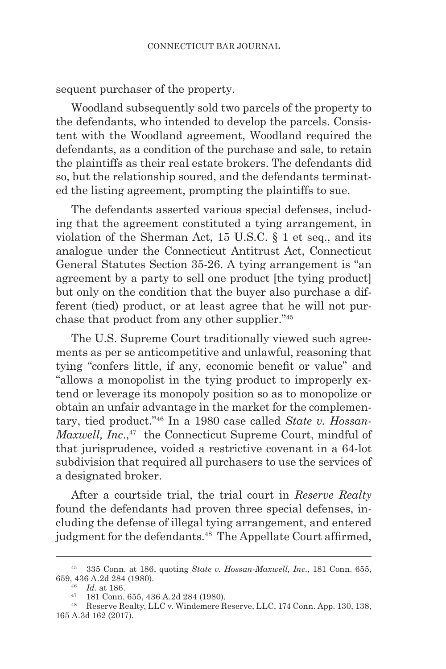sequent purchaser of the property.

Woodland subsequently sold two parcels of the property to the defendants, who intended to develop the parcels. Consistent with the Woodland agreement, Woodland required the defendants, as a condition of the purchase and sale, to retain the plaintiffs as their real estate brokers. The defendants did so, but the relationship soured, and the defendants terminated the listing agreement, prompting the plaintiffs to sue.

The defendants asserted various special defenses, including that the agreement constituted a tying arrangement, in violation of the Sherman Act, 15 U.S.C. § 1 et seq., and its analogue under the Connecticut Antitrust Act, Connecticut General Statutes Section 35-26. A tying arrangement is "an agreement by a party to sell one product [the tying product] but only on the condition that the buyer also purchase a different (tied) product, or at least agree that he will not purchase that product from any other supplier."45

The U.S. Supreme Court traditionally viewed such agreements as per se anticompetitive and unlawful, reasoning that tying "confers little, if any, economic benefit or value" and "allows a monopolist in the tying product to improperly extend or leverage its monopoly position so as to monopolize or obtain an unfair advantage in the market for the complementary, tied product."46 In a 1980 case called *State v. Hossan-Maxwell, Inc.*,<sup>47</sup> the Connecticut Supreme Court, mindful of that jurisprudence, voided a restrictive covenant in a 64-lot subdivision that required all purchasers to use the services of a designated broker.

After a courtside trial, the trial court in *Reserve Realty* found the defendants had proven three special defenses, including the defense of illegal tying arrangement, and entered judgment for the defendants.<sup>48</sup> The Appellate Court affirmed,

<sup>45</sup> 335 Conn. at 186, quoting *State v. Hossan-Maxwell, Inc*., 181 Conn. 655, 659, 436 A.2d 284 (1980).

 $^{46}$   $\,$   $\,$   $Id.$  at 186.  $^{47}$   $\,$  181 Conn. 655, 436 A.2d 284 (1980).

<sup>&</sup>lt;sup>48</sup> Reserve Realty, LLC v. Windemere Reserve, LLC, 174 Conn. App. 130, 138, 165 A.3d 162 (2017).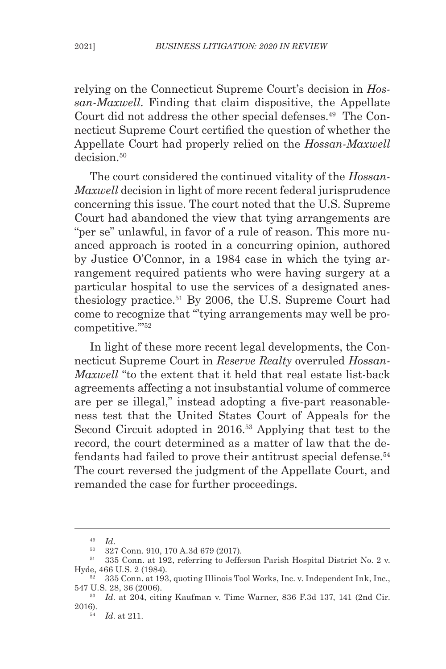relying on the Connecticut Supreme Court's decision in *Hossan-Maxwell*. Finding that claim dispositive, the Appellate Court did not address the other special defenses.<sup>49</sup> The Connecticut Supreme Court certified the question of whether the Appellate Court had properly relied on the *Hossan-Maxwell*  decision<sup>50</sup>

The court considered the continued vitality of the *Hossan-Maxwell* decision in light of more recent federal jurisprudence concerning this issue. The court noted that the U.S. Supreme Court had abandoned the view that tying arrangements are "per se" unlawful, in favor of a rule of reason. This more nuanced approach is rooted in a concurring opinion, authored by Justice O'Connor, in a 1984 case in which the tying arrangement required patients who were having surgery at a particular hospital to use the services of a designated anesthesiology practice.51 By 2006, the U.S. Supreme Court had come to recognize that "'tying arrangements may well be procompetitive.'"52

In light of these more recent legal developments, the Connecticut Supreme Court in *Reserve Realty* overruled *Hossan-Maxwell* "to the extent that it held that real estate list-back agreements affecting a not insubstantial volume of commerce are per se illegal," instead adopting a five-part reasonableness test that the United States Court of Appeals for the Second Circuit adopted in 2016.<sup>53</sup> Applying that test to the record, the court determined as a matter of law that the defendants had failed to prove their antitrust special defense.<sup>54</sup> The court reversed the judgment of the Appellate Court, and remanded the case for further proceedings.

<sup>49</sup> *Id*.

<sup>50</sup> 327 Conn. 910, 170 A.3d 679 (2017).

 $51$  335 Conn. at 192, referring to Jefferson Parish Hospital District No. 2 v.<br>Hyde, 466 U.S. 2 (1984).

<sup>52 335</sup> Conn. at 193, quoting Illinois Tool Works, Inc. v. Independent Ink, Inc., 547 U.S. 28, 36 (2006).

<sup>53</sup> *Id*. at 204, citing Kaufman v. Time Warner, 836 F.3d 137, 141 (2nd Cir. 2016).

<sup>54</sup> *Id*. at 211.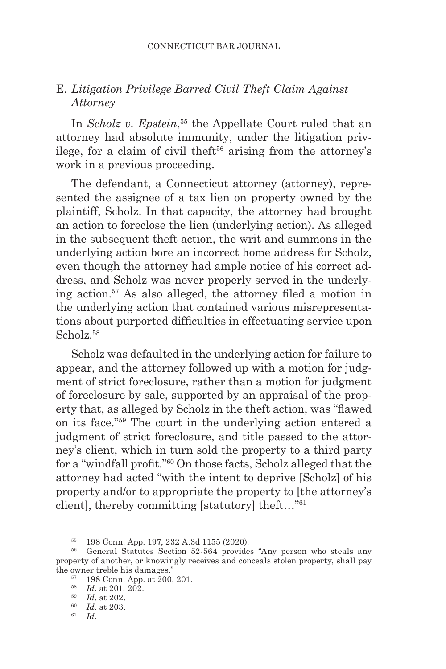# E*. Litigation Privilege Barred Civil Theft Claim Against Attorney*

In *Scholz v. Epstein*, 55 the Appellate Court ruled that an attorney had absolute immunity, under the litigation privilege, for a claim of civil theft<sup>56</sup> arising from the attorney's work in a previous proceeding.

The defendant, a Connecticut attorney (attorney), represented the assignee of a tax lien on property owned by the plaintiff, Scholz. In that capacity, the attorney had brought an action to foreclose the lien (underlying action). As alleged in the subsequent theft action, the writ and summons in the underlying action bore an incorrect home address for Scholz, even though the attorney had ample notice of his correct address, and Scholz was never properly served in the underlying action.57 As also alleged, the attorney filed a motion in the underlying action that contained various misrepresentations about purported difficulties in effectuating service upon Scholz<sup>58</sup>

Scholz was defaulted in the underlying action for failure to appear, and the attorney followed up with a motion for judgment of strict foreclosure, rather than a motion for judgment of foreclosure by sale, supported by an appraisal of the property that, as alleged by Scholz in the theft action, was "flawed on its face."59 The court in the underlying action entered a judgment of strict foreclosure, and title passed to the attorney's client, which in turn sold the property to a third party for a "windfall profit."60 On those facts, Scholz alleged that the attorney had acted "with the intent to deprive [Scholz] of his property and/or to appropriate the property to [the attorney's client], thereby committing [statutory] theft…"61

<sup>55</sup> 198 Conn. App. 197, 232 A.3d 1155 (2020).

<sup>56</sup> General Statutes Section 52-564 provides "Any person who steals any property of another, or knowingly receives and conceals stolen property, shall pay the owner treble his damages."

<sup>57</sup> 198 Conn. App. at 200, 201. 58 *Id*. at 201, 202.

<sup>59</sup> *Id*. at 202.

<sup>60</sup> *Id*. at 203.

<sup>61</sup> *Id*.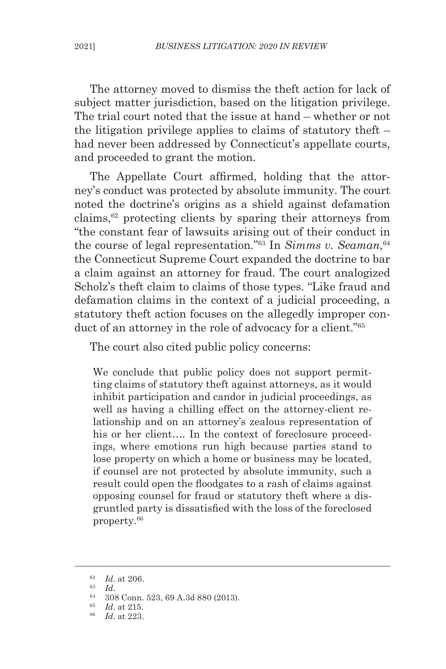The attorney moved to dismiss the theft action for lack of subject matter jurisdiction, based on the litigation privilege. The trial court noted that the issue at hand – whether or not the litigation privilege applies to claims of statutory theft – had never been addressed by Connecticut's appellate courts, and proceeded to grant the motion.

The Appellate Court affirmed, holding that the attorney's conduct was protected by absolute immunity. The court noted the doctrine's origins as a shield against defamation claims,62 protecting clients by sparing their attorneys from "the constant fear of lawsuits arising out of their conduct in the course of legal representation."<sup>63</sup> In *Simms v. Seaman*,<sup>64</sup> the Connecticut Supreme Court expanded the doctrine to bar a claim against an attorney for fraud. The court analogized Scholz's theft claim to claims of those types. "Like fraud and defamation claims in the context of a judicial proceeding, a statutory theft action focuses on the allegedly improper conduct of an attorney in the role of advocacy for a client."<sup>65</sup>

The court also cited public policy concerns:

We conclude that public policy does not support permitting claims of statutory theft against attorneys, as it would inhibit participation and candor in judicial proceedings, as well as having a chilling effect on the attorney-client relationship and on an attorney's zealous representation of his or her client.... In the context of foreclosure proceedings, where emotions run high because parties stand to lose property on which a home or business may be located, if counsel are not protected by absolute immunity, such a result could open the floodgates to a rash of claims against opposing counsel for fraud or statutory theft where a disgruntled party is dissatisfied with the loss of the foreclosed property.66

 $\frac{62}{63}$  *Id.* at 206.

 $\begin{array}{cc} 63 & Id. \\ 64 & 20. \end{array}$ 

<sup>64</sup> 308 Conn. 523, 69 A.3d 880 (2013). 65 *Id*. at 215.

<sup>66</sup> *Id*. at 223.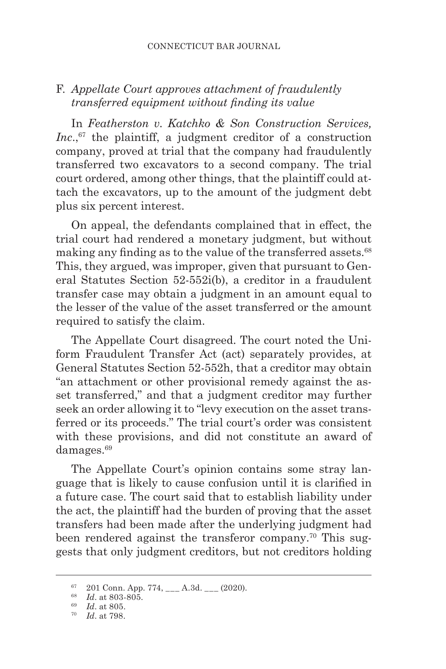# F. *Appellate Court approves attachment of fraudulently transferred equipment without finding its value*

In *Featherston v. Katchko & Son Construction Services, Inc.*,<sup>67</sup> the plaintiff, a judgment creditor of a construction company, proved at trial that the company had fraudulently transferred two excavators to a second company. The trial court ordered, among other things, that the plaintiff could attach the excavators, up to the amount of the judgment debt plus six percent interest.

On appeal, the defendants complained that in effect, the trial court had rendered a monetary judgment, but without making any finding as to the value of the transferred assets.<sup>68</sup> This, they argued, was improper, given that pursuant to General Statutes Section 52-552i(b), a creditor in a fraudulent transfer case may obtain a judgment in an amount equal to the lesser of the value of the asset transferred or the amount required to satisfy the claim.

The Appellate Court disagreed. The court noted the Uniform Fraudulent Transfer Act (act) separately provides, at General Statutes Section 52-552h, that a creditor may obtain "an attachment or other provisional remedy against the asset transferred," and that a judgment creditor may further seek an order allowing it to "levy execution on the asset transferred or its proceeds." The trial court's order was consistent with these provisions, and did not constitute an award of damages.<sup>69</sup>

The Appellate Court's opinion contains some stray language that is likely to cause confusion until it is clarified in a future case. The court said that to establish liability under the act, the plaintiff had the burden of proving that the asset transfers had been made after the underlying judgment had been rendered against the transferor company.<sup>70</sup> This suggests that only judgment creditors, but not creditors holding

 $67$  201 Conn. App. 774, \_\_\_ A.3d. \_\_ (2020).

<sup>&</sup>lt;sup>68</sup> *Id.* at 803-805.<br><sup>69</sup> *Id.* at 805.

<sup>&</sup>lt;sup>70</sup> *Id.* at 798.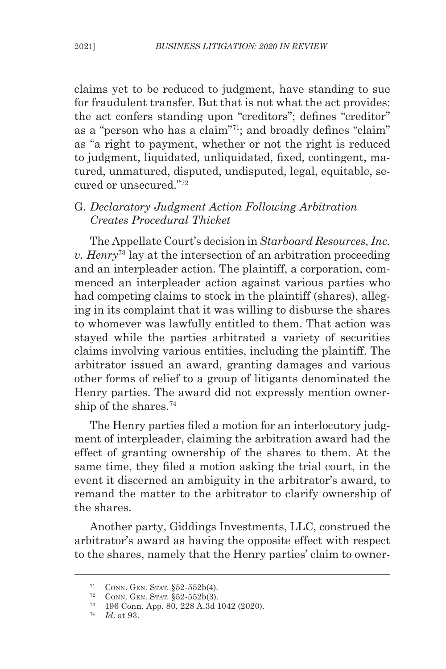claims yet to be reduced to judgment, have standing to sue for fraudulent transfer. But that is not what the act provides: the act confers standing upon "creditors"; defines "creditor" as a "person who has a claim"<sup>71</sup>; and broadly defines "claim" as "a right to payment, whether or not the right is reduced to judgment, liquidated, unliquidated, fixed, contingent, matured, unmatured, disputed, undisputed, legal, equitable, secured or unsecured."72

### G. *Declaratory Judgment Action Following Arbitration Creates Procedural Thicket*

The Appellate Court's decision in *Starboard Resources, Inc. v. Henry*73 lay at the intersection of an arbitration proceeding and an interpleader action. The plaintiff, a corporation, commenced an interpleader action against various parties who had competing claims to stock in the plaintiff (shares), alleging in its complaint that it was willing to disburse the shares to whomever was lawfully entitled to them. That action was stayed while the parties arbitrated a variety of securities claims involving various entities, including the plaintiff. The arbitrator issued an award, granting damages and various other forms of relief to a group of litigants denominated the Henry parties. The award did not expressly mention ownership of the shares.74

The Henry parties filed a motion for an interlocutory judgment of interpleader, claiming the arbitration award had the effect of granting ownership of the shares to them. At the same time, they filed a motion asking the trial court, in the event it discerned an ambiguity in the arbitrator's award, to remand the matter to the arbitrator to clarify ownership of the shares.

Another party, Giddings Investments, LLC, construed the arbitrator's award as having the opposite effect with respect to the shares, namely that the Henry parties' claim to owner-

<sup>71</sup> Conn. Gen. Stat. §52-552b(4).

<sup>72</sup> Conn. Gen. Stat. §52-552b(3).

<sup>73</sup> 196 Conn. App. 80, 228 A.3d 1042 (2020). 74 *Id*. at 93.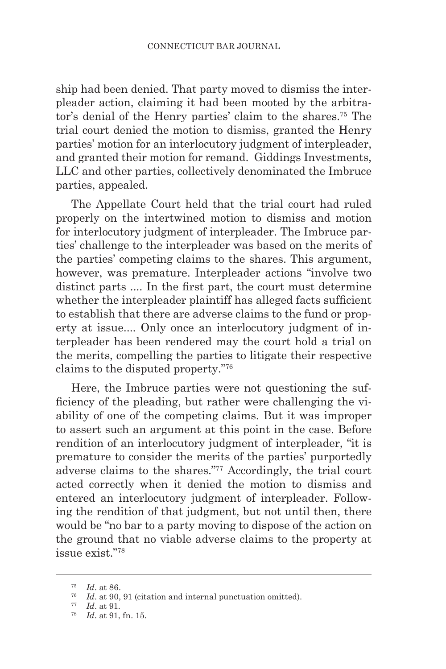ship had been denied. That party moved to dismiss the interpleader action, claiming it had been mooted by the arbitrator's denial of the Henry parties' claim to the shares.75 The trial court denied the motion to dismiss, granted the Henry parties' motion for an interlocutory judgment of interpleader, and granted their motion for remand. Giddings Investments, LLC and other parties, collectively denominated the Imbruce parties, appealed.

The Appellate Court held that the trial court had ruled properly on the intertwined motion to dismiss and motion for interlocutory judgment of interpleader. The Imbruce parties' challenge to the interpleader was based on the merits of the parties' competing claims to the shares. This argument, however, was premature. Interpleader actions "involve two distinct parts .... In the first part, the court must determine whether the interpleader plaintiff has alleged facts sufficient to establish that there are adverse claims to the fund or property at issue.... Only once an interlocutory judgment of interpleader has been rendered may the court hold a trial on the merits, compelling the parties to litigate their respective claims to the disputed property."76

Here, the Imbruce parties were not questioning the sufficiency of the pleading, but rather were challenging the viability of one of the competing claims. But it was improper to assert such an argument at this point in the case. Before rendition of an interlocutory judgment of interpleader, "it is premature to consider the merits of the parties' purportedly adverse claims to the shares."77 Accordingly, the trial court acted correctly when it denied the motion to dismiss and entered an interlocutory judgment of interpleader. Following the rendition of that judgment, but not until then, there would be "no bar to a party moving to dispose of the action on the ground that no viable adverse claims to the property at issue exist."78

<sup>75</sup> *Id*. at 86.

<sup>76</sup> *Id*. at 90, 91 (citation and internal punctuation omitted).

<sup>77</sup> *Id*. at 91. 78 *Id*. at 91, fn. 15.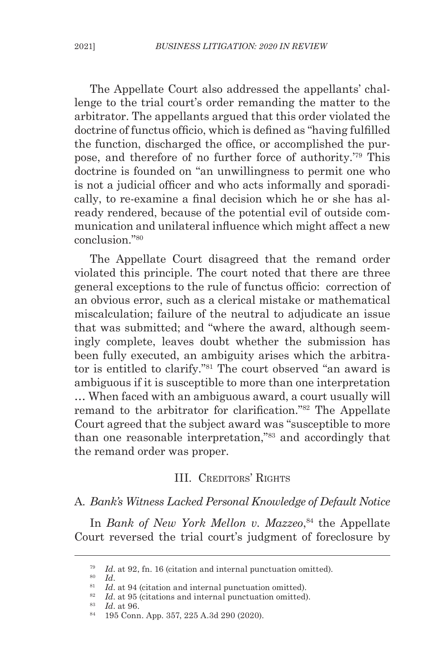The Appellate Court also addressed the appellants' challenge to the trial court's order remanding the matter to the arbitrator. The appellants argued that this order violated the doctrine of functus officio, which is defined as "having fulfilled the function, discharged the office, or accomplished the purpose, and therefore of no further force of authority.'79 This doctrine is founded on "an unwillingness to permit one who is not a judicial officer and who acts informally and sporadically, to re-examine a final decision which he or she has already rendered, because of the potential evil of outside communication and unilateral influence which might affect a new conclusion<sup>"80</sup>

The Appellate Court disagreed that the remand order violated this principle. The court noted that there are three general exceptions to the rule of functus officio: correction of an obvious error, such as a clerical mistake or mathematical miscalculation; failure of the neutral to adjudicate an issue that was submitted; and "where the award, although seemingly complete, leaves doubt whether the submission has been fully executed, an ambiguity arises which the arbitrator is entitled to clarify."81 The court observed "an award is ambiguous if it is susceptible to more than one interpretation … When faced with an ambiguous award, a court usually will remand to the arbitrator for clarification."82 The Appellate Court agreed that the subject award was "susceptible to more than one reasonable interpretation,"83 and accordingly that the remand order was proper.

#### III. CREDITORS' RIGHTS

A*. Bank's Witness Lacked Personal Knowledge of Default Notice*

In *Bank of New York Mellon v. Mazzeo*, 84 the Appellate Court reversed the trial court's judgment of foreclosure by

<sup>&</sup>lt;sup>79</sup> *Id.* at 92, fn. 16 (citation and internal punctuation omitted).<br><sup>80</sup> *Id*.

<sup>&</sup>lt;sup>81</sup> *Id.* at 94 (citation and internal punctuation omitted).<br><sup>82</sup> *Id.* at 95 (citations and internal punctuation omitted).

<sup>83</sup> *Id*. at 96.

<sup>84</sup> 195 Conn. App. 357, 225 A.3d 290 (2020).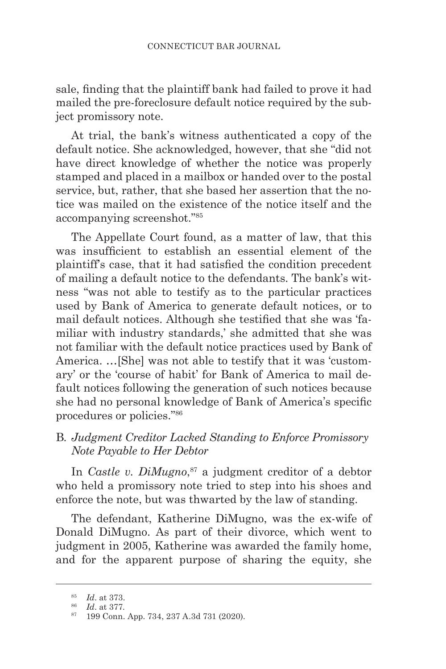sale, finding that the plaintiff bank had failed to prove it had mailed the pre-foreclosure default notice required by the subject promissory note.

At trial, the bank's witness authenticated a copy of the default notice. She acknowledged, however, that she "did not have direct knowledge of whether the notice was properly stamped and placed in a mailbox or handed over to the postal service, but, rather, that she based her assertion that the notice was mailed on the existence of the notice itself and the accompanying screenshot."85

The Appellate Court found, as a matter of law, that this was insufficient to establish an essential element of the plaintiff's case, that it had satisfied the condition precedent of mailing a default notice to the defendants. The bank's witness "was not able to testify as to the particular practices used by Bank of America to generate default notices, or to mail default notices. Although she testified that she was 'familiar with industry standards,' she admitted that she was not familiar with the default notice practices used by Bank of America. …[She] was not able to testify that it was 'customary' or the 'course of habit' for Bank of America to mail default notices following the generation of such notices because she had no personal knowledge of Bank of America's specific procedures or policies."86

### B*. Judgment Creditor Lacked Standing to Enforce Promissory Note Payable to Her Debtor*

In *Castle v. DiMugno*, 87 a judgment creditor of a debtor who held a promissory note tried to step into his shoes and enforce the note, but was thwarted by the law of standing.

The defendant, Katherine DiMugno, was the ex-wife of Donald DiMugno. As part of their divorce, which went to judgment in 2005, Katherine was awarded the family home, and for the apparent purpose of sharing the equity, she

<sup>85</sup> *Id*. at 373.

<sup>87 199</sup> Conn. App. 734, 237 A.3d 731 (2020).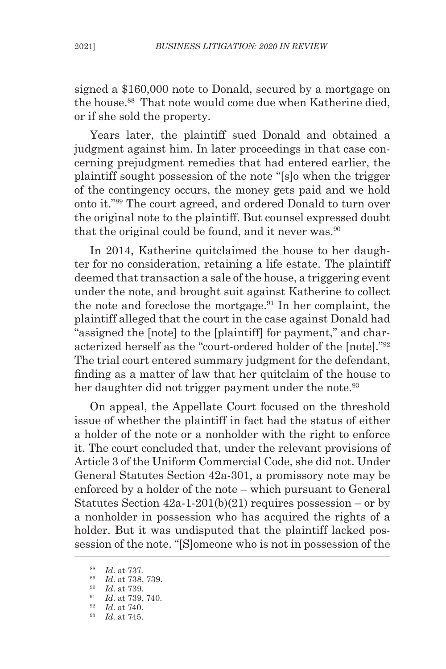signed a \$160,000 note to Donald, secured by a mortgage on the house.88 That note would come due when Katherine died, or if she sold the property.

Years later, the plaintiff sued Donald and obtained a judgment against him. In later proceedings in that case concerning prejudgment remedies that had entered earlier, the plaintiff sought possession of the note "[s]o when the trigger of the contingency occurs, the money gets paid and we hold onto it."89 The court agreed, and ordered Donald to turn over the original note to the plaintiff. But counsel expressed doubt that the original could be found, and it never was.  $90$ 

In 2014, Katherine quitclaimed the house to her daughter for no consideration, retaining a life estate. The plaintiff deemed that transaction a sale of the house, a triggering event under the note, and brought suit against Katherine to collect the note and foreclose the mortgage.91 In her complaint, the plaintiff alleged that the court in the case against Donald had "assigned the [note] to the [plaintiff] for payment," and characterized herself as the "court-ordered holder of the [note]."<sup>92</sup> The trial court entered summary judgment for the defendant, finding as a matter of law that her quitclaim of the house to her daughter did not trigger payment under the note.<sup>93</sup>

On appeal, the Appellate Court focused on the threshold issue of whether the plaintiff in fact had the status of either a holder of the note or a nonholder with the right to enforce it. The court concluded that, under the relevant provisions of Article 3 of the Uniform Commercial Code, she did not. Under General Statutes Section 42a-301, a promissory note may be enforced by a holder of the note – which pursuant to General Statutes Section  $42a-1-201(b)(21)$  requires possession – or by a nonholder in possession who has acquired the rights of a holder. But it was undisputed that the plaintiff lacked possession of the note. "[S]omeone who is not in possession of the

<sup>88</sup> *Id*. at 737.

<sup>&</sup>lt;sup>90</sup> *Id.* at 739.

<sup>91</sup> *Id*. at 739, 740.

<sup>92</sup> *Id*. at 740. 93 *Id*. at 745.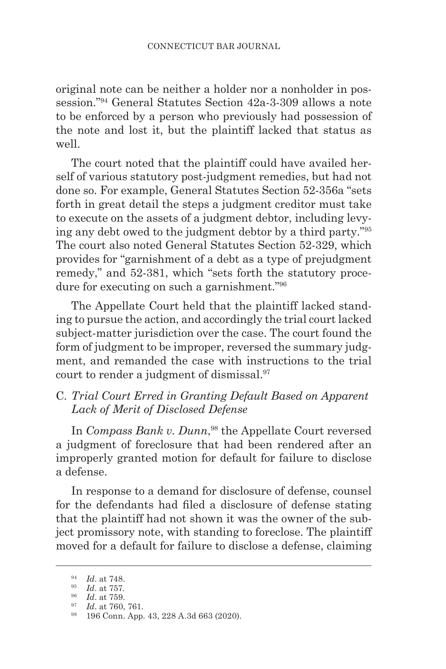original note can be neither a holder nor a nonholder in possession."94 General Statutes Section 42a-3-309 allows a note to be enforced by a person who previously had possession of the note and lost it, but the plaintiff lacked that status as well.

The court noted that the plaintiff could have availed herself of various statutory post-judgment remedies, but had not done so. For example, General Statutes Section 52-356a "sets forth in great detail the steps a judgment creditor must take to execute on the assets of a judgment debtor, including levying any debt owed to the judgment debtor by a third party."95 The court also noted General Statutes Section 52-329, which provides for "garnishment of a debt as a type of prejudgment remedy," and 52-381, which "sets forth the statutory procedure for executing on such a garnishment."96

The Appellate Court held that the plaintiff lacked standing to pursue the action, and accordingly the trial court lacked subject-matter jurisdiction over the case. The court found the form of judgment to be improper, reversed the summary judgment, and remanded the case with instructions to the trial court to render a judgment of dismissal.<sup>97</sup>

# C. *Trial Court Erred in Granting Default Based on Apparent Lack of Merit of Disclosed Defense*

In *Compass Bank v. Dunn*, 98 the Appellate Court reversed a judgment of foreclosure that had been rendered after an improperly granted motion for default for failure to disclose a defense.

In response to a demand for disclosure of defense, counsel for the defendants had filed a disclosure of defense stating that the plaintiff had not shown it was the owner of the subject promissory note, with standing to foreclose. The plaintiff moved for a default for failure to disclose a defense, claiming

<sup>94</sup> *Id*. at 748.

<sup>&</sup>lt;sup>95</sup> *Id.* at 757.<br><sup>96</sup> *Id.* at 759.

<sup>96</sup> *Id*. at 759. 97 *Id*. at 760, 761.

<sup>98</sup> 196 Conn. App. 43, 228 A.3d 663 (2020).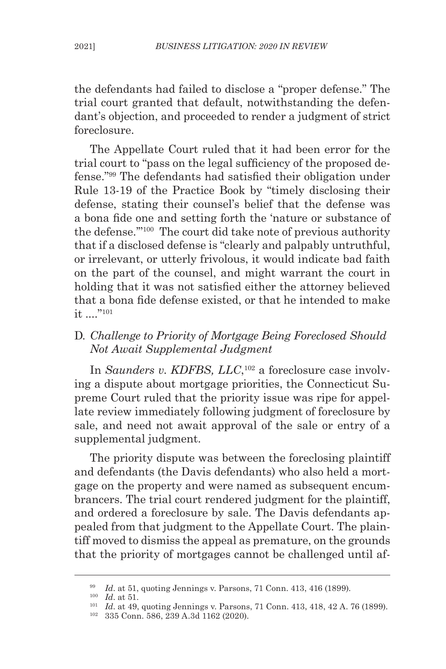the defendants had failed to disclose a "proper defense." The trial court granted that default, notwithstanding the defendant's objection, and proceeded to render a judgment of strict foreclosure.

The Appellate Court ruled that it had been error for the trial court to "pass on the legal sufficiency of the proposed defense."99 The defendants had satisfied their obligation under Rule 13-19 of the Practice Book by "timely disclosing their defense, stating their counsel's belief that the defense was a bona fide one and setting forth the 'nature or substance of the defense.'"100 The court did take note of previous authority that if a disclosed defense is "clearly and palpably untruthful, or irrelevant, or utterly frivolous, it would indicate bad faith on the part of the counsel, and might warrant the court in holding that it was not satisfied either the attorney believed that a bona fide defense existed, or that he intended to make it ...."<sup>101</sup>

# D*. Challenge to Priority of Mortgage Being Foreclosed Should Not Await Supplemental Judgment*

In *Saunders v. KDFBS, LLC*, 102 a foreclosure case involving a dispute about mortgage priorities, the Connecticut Supreme Court ruled that the priority issue was ripe for appellate review immediately following judgment of foreclosure by sale, and need not await approval of the sale or entry of a supplemental judgment.

The priority dispute was between the foreclosing plaintiff and defendants (the Davis defendants) who also held a mortgage on the property and were named as subsequent encumbrancers. The trial court rendered judgment for the plaintiff, and ordered a foreclosure by sale. The Davis defendants appealed from that judgment to the Appellate Court. The plaintiff moved to dismiss the appeal as premature, on the grounds that the priority of mortgages cannot be challenged until af-

<sup>99</sup> *Id*. at 51, quoting Jennings v. Parsons, 71 Conn. 413, 416 (1899).

<sup>100</sup> *Id*. at 51.

<sup>101</sup> *Id*. at 49, quoting Jennings v. Parsons, 71 Conn. 413, 418, 42 A. 76 (1899). 102 335 Conn. 586, 239 A.3d 1162 (2020).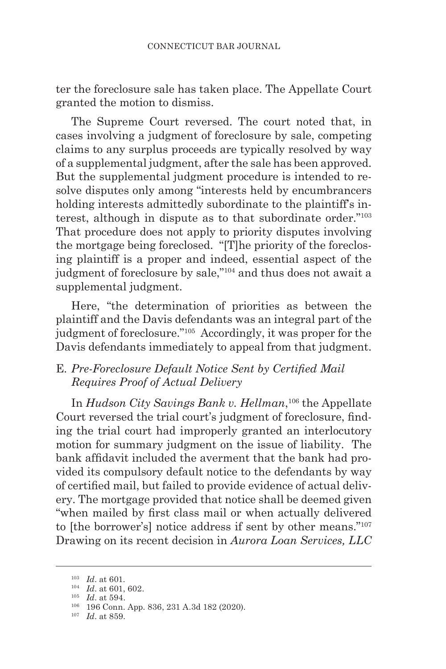ter the foreclosure sale has taken place. The Appellate Court granted the motion to dismiss.

The Supreme Court reversed. The court noted that, in cases involving a judgment of foreclosure by sale, competing claims to any surplus proceeds are typically resolved by way of a supplemental judgment, after the sale has been approved. But the supplemental judgment procedure is intended to resolve disputes only among "interests held by encumbrancers holding interests admittedly subordinate to the plaintiff's interest, although in dispute as to that subordinate order."103 That procedure does not apply to priority disputes involving the mortgage being foreclosed. "[T]he priority of the foreclosing plaintiff is a proper and indeed, essential aspect of the judgment of foreclosure by sale,"104 and thus does not await a supplemental judgment.

Here, "the determination of priorities as between the plaintiff and the Davis defendants was an integral part of the judgment of foreclosure."105 Accordingly, it was proper for the Davis defendants immediately to appeal from that judgment.

# E*. Pre-Foreclosure Default Notice Sent by Certified Mail Requires Proof of Actual Delivery*

In *Hudson City Savings Bank v. Hellman*, 106 the Appellate Court reversed the trial court's judgment of foreclosure, finding the trial court had improperly granted an interlocutory motion for summary judgment on the issue of liability. The bank affidavit included the averment that the bank had provided its compulsory default notice to the defendants by way of certified mail, but failed to provide evidence of actual delivery. The mortgage provided that notice shall be deemed given "when mailed by first class mail or when actually delivered to [the borrower's] notice address if sent by other means."107 Drawing on its recent decision in *Aurora Loan Services, LLC* 

<sup>103</sup> *Id*. at 601.

<sup>&</sup>lt;sup>104</sup> *Id.* at 601, 602.<br><sup>105</sup> *Id.* at 594.

<sup>&</sup>lt;sup>106</sup> 196 Conn. App. 836, 231 A.3d 182 (2020).

<sup>107</sup> *Id*. at 859.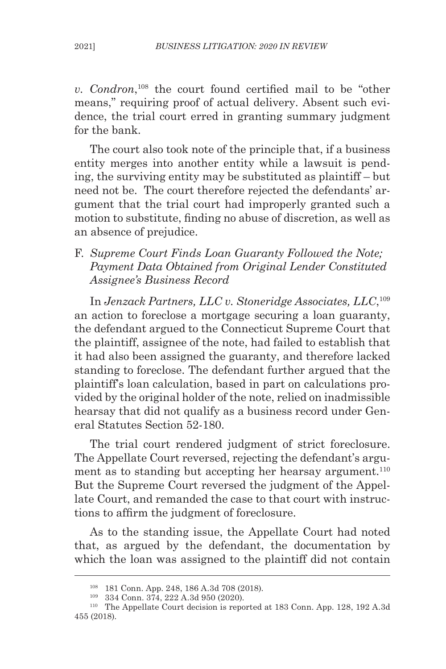*v. Condron*, <sup>108</sup> the court found certified mail to be "other means," requiring proof of actual delivery. Absent such evidence, the trial court erred in granting summary judgment for the bank.

The court also took note of the principle that, if a business entity merges into another entity while a lawsuit is pending, the surviving entity may be substituted as plaintiff – but need not be. The court therefore rejected the defendants' argument that the trial court had improperly granted such a motion to substitute, finding no abuse of discretion, as well as an absence of prejudice.

F. *Supreme Court Finds Loan Guaranty Followed the Note; Payment Data Obtained from Original Lender Constituted Assignee's Business Record*

In *Jenzack Partners, LLC v. Stoneridge Associates, LLC*, 109 an action to foreclose a mortgage securing a loan guaranty, the defendant argued to the Connecticut Supreme Court that the plaintiff, assignee of the note, had failed to establish that it had also been assigned the guaranty, and therefore lacked standing to foreclose. The defendant further argued that the plaintiff's loan calculation, based in part on calculations provided by the original holder of the note, relied on inadmissible hearsay that did not qualify as a business record under General Statutes Section 52-180.

The trial court rendered judgment of strict foreclosure. The Appellate Court reversed, rejecting the defendant's argument as to standing but accepting her hearsay argument. $110$ But the Supreme Court reversed the judgment of the Appellate Court, and remanded the case to that court with instructions to affirm the judgment of foreclosure.

As to the standing issue, the Appellate Court had noted that, as argued by the defendant, the documentation by which the loan was assigned to the plaintiff did not contain

<sup>108</sup> 181 Conn. App. 248, 186 A.3d 708 (2018).

<sup>109</sup> 334 Conn. 374, 222 A.3d 950 (2020).

<sup>110</sup> The Appellate Court decision is reported at 183 Conn. App. 128, 192 A.3d 455 (2018).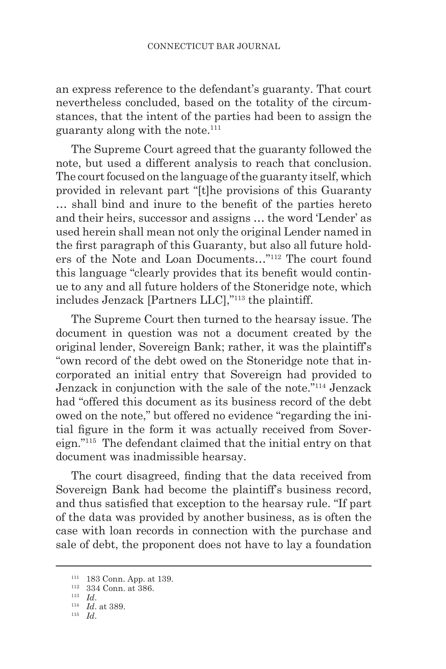an express reference to the defendant's guaranty. That court nevertheless concluded, based on the totality of the circumstances, that the intent of the parties had been to assign the guaranty along with the note.111

The Supreme Court agreed that the guaranty followed the note, but used a different analysis to reach that conclusion. The court focused on the language of the guaranty itself, which provided in relevant part "[t]he provisions of this Guaranty … shall bind and inure to the benefit of the parties hereto and their heirs, successor and assigns … the word 'Lender' as used herein shall mean not only the original Lender named in the first paragraph of this Guaranty, but also all future holders of the Note and Loan Documents…"112 The court found this language "clearly provides that its benefit would continue to any and all future holders of the Stoneridge note, which includes Jenzack [Partners LLC],"113 the plaintiff.

The Supreme Court then turned to the hearsay issue. The document in question was not a document created by the original lender, Sovereign Bank; rather, it was the plaintiff's "own record of the debt owed on the Stoneridge note that incorporated an initial entry that Sovereign had provided to Jenzack in conjunction with the sale of the note."114 Jenzack had "offered this document as its business record of the debt owed on the note," but offered no evidence "regarding the initial figure in the form it was actually received from Sovereign."115 The defendant claimed that the initial entry on that document was inadmissible hearsay.

The court disagreed, finding that the data received from Sovereign Bank had become the plaintiff's business record, and thus satisfied that exception to the hearsay rule. "If part of the data was provided by another business, as is often the case with loan records in connection with the purchase and sale of debt, the proponent does not have to lay a foundation

<sup>111</sup> 183 Conn. App. at 139.

<sup>112</sup> 334 Conn. at 386.

<sup>113</sup> *Id*.

<sup>114</sup> *Id*. at 389.

<sup>115</sup> *Id*.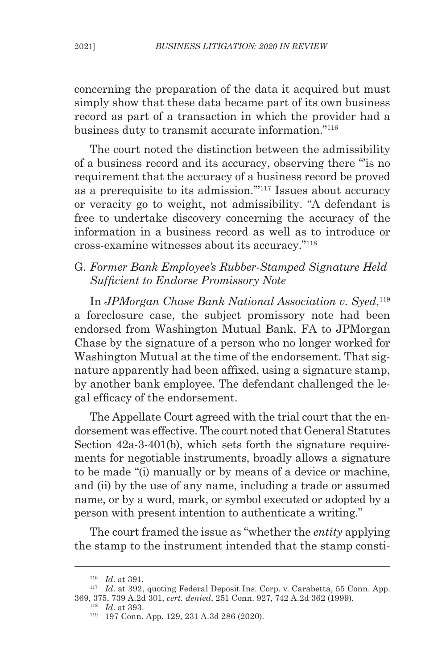concerning the preparation of the data it acquired but must simply show that these data became part of its own business record as part of a transaction in which the provider had a business duty to transmit accurate information."116

The court noted the distinction between the admissibility of a business record and its accuracy, observing there "'is no requirement that the accuracy of a business record be proved as a prerequisite to its admission.'"117 Issues about accuracy or veracity go to weight, not admissibility. "A defendant is free to undertake discovery concerning the accuracy of the information in a business record as well as to introduce or cross-examine witnesses about its accuracy."118

# G. *Former Bank Employee's Rubber-Stamped Signature Held Sufficient to Endorse Promissory Note*

In *JPMorgan Chase Bank National Association v. Syed*, 119 a foreclosure case, the subject promissory note had been endorsed from Washington Mutual Bank, FA to JPMorgan Chase by the signature of a person who no longer worked for Washington Mutual at the time of the endorsement. That signature apparently had been affixed, using a signature stamp, by another bank employee. The defendant challenged the legal efficacy of the endorsement.

The Appellate Court agreed with the trial court that the endorsement was effective. The court noted that General Statutes Section 42a-3-401(b), which sets forth the signature requirements for negotiable instruments, broadly allows a signature to be made "(i) manually or by means of a device or machine, and (ii) by the use of any name, including a trade or assumed name, or by a word, mark, or symbol executed or adopted by a person with present intention to authenticate a writing."

The court framed the issue as "whether the *entity* applying the stamp to the instrument intended that the stamp consti-

<sup>118</sup> *Id*. at 393.

<sup>116</sup> *Id*. at 391.

<sup>117</sup> *Id*. at 392, quoting Federal Deposit Ins. Corp. v. Carabetta, 55 Conn. App. 369, 375, 739 A.2d 301, *cert. denied*, 251 Conn. 927, 742 A.2d 362 (1999).

<sup>119</sup> 197 Conn. App. 129, 231 A.3d 286 (2020).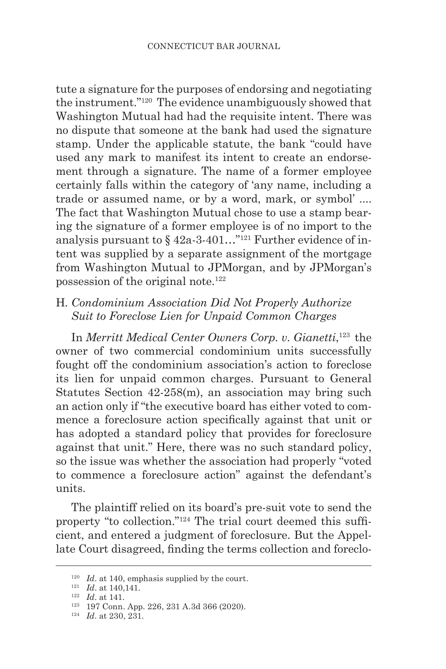tute a signature for the purposes of endorsing and negotiating the instrument."120 The evidence unambiguously showed that Washington Mutual had had the requisite intent. There was no dispute that someone at the bank had used the signature stamp. Under the applicable statute, the bank "could have used any mark to manifest its intent to create an endorsement through a signature. The name of a former employee certainly falls within the category of 'any name, including a trade or assumed name, or by a word, mark, or symbol' .... The fact that Washington Mutual chose to use a stamp bearing the signature of a former employee is of no import to the analysis pursuant to  $\S 42a-3-401...$ <sup>"121</sup> Further evidence of intent was supplied by a separate assignment of the mortgage from Washington Mutual to JPMorgan, and by JPMorgan's possession of the original note.122

# H*. Condominium Association Did Not Properly Authorize Suit to Foreclose Lien for Unpaid Common Charges*

In *Merritt Medical Center Owners Corp. v. Gianetti*, 123 the owner of two commercial condominium units successfully fought off the condominium association's action to foreclose its lien for unpaid common charges. Pursuant to General Statutes Section 42-258(m), an association may bring such an action only if "the executive board has either voted to commence a foreclosure action specifically against that unit or has adopted a standard policy that provides for foreclosure against that unit." Here, there was no such standard policy, so the issue was whether the association had properly "voted to commence a foreclosure action" against the defendant's units.

The plaintiff relied on its board's pre-suit vote to send the property "to collection."124 The trial court deemed this sufficient, and entered a judgment of foreclosure. But the Appellate Court disagreed, finding the terms collection and foreclo-

 $120$  *Id.* at 140, emphasis supplied by the court.

<sup>121</sup> *Id*. at 140,141.

<sup>122</sup> *Id*. at 141.

<sup>123</sup> 197 Conn. App. 226, 231 A.3d 366 (2020).

<sup>124</sup> *Id*. at 230, 231.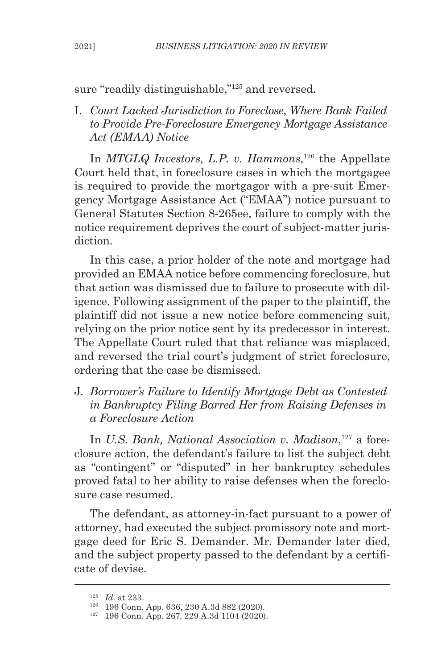sure "readily distinguishable,"125 and reversed.

I. *Court Lacked Jurisdiction to Foreclose, Where Bank Failed to Provide Pre-Foreclosure Emergency Mortgage Assistance Act (EMAA) Notice*

In *MTGLQ Investors, L.P. v. Hammons*, 126 the Appellate Court held that, in foreclosure cases in which the mortgagee is required to provide the mortgagor with a pre-suit Emergency Mortgage Assistance Act ("EMAA") notice pursuant to General Statutes Section 8-265ee, failure to comply with the notice requirement deprives the court of subject-matter jurisdiction.

In this case, a prior holder of the note and mortgage had provided an EMAA notice before commencing foreclosure, but that action was dismissed due to failure to prosecute with diligence. Following assignment of the paper to the plaintiff, the plaintiff did not issue a new notice before commencing suit, relying on the prior notice sent by its predecessor in interest. The Appellate Court ruled that that reliance was misplaced, and reversed the trial court's judgment of strict foreclosure, ordering that the case be dismissed.

J. *Borrower's Failure to Identify Mortgage Debt as Contested in Bankruptcy Filing Barred Her from Raising Defenses in a Foreclosure Action*

In *U.S. Bank, National Association v. Madison*, 127 a foreclosure action, the defendant's failure to list the subject debt as "contingent" or "disputed" in her bankruptcy schedules proved fatal to her ability to raise defenses when the foreclosure case resumed.

The defendant, as attorney-in-fact pursuant to a power of attorney, had executed the subject promissory note and mortgage deed for Eric S. Demander. Mr. Demander later died, and the subject property passed to the defendant by a certificate of devise.

<sup>125</sup> *Id*. at 233.

<sup>126</sup> 196 Conn. App. 636, 230 A.3d 882 (2020).

<sup>127</sup> 196 Conn. App. 267, 229 A.3d 1104 (2020).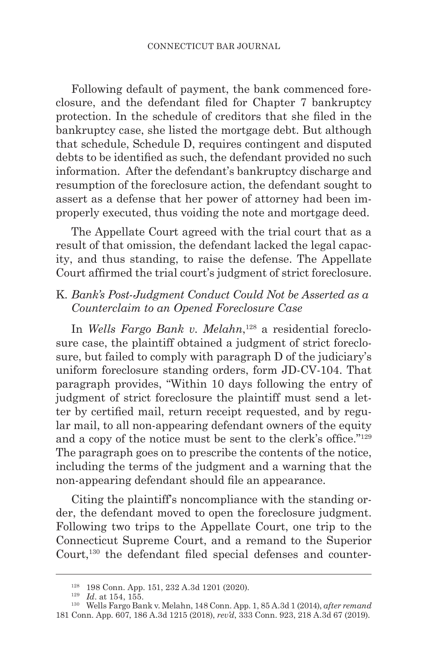Following default of payment, the bank commenced foreclosure, and the defendant filed for Chapter 7 bankruptcy protection. In the schedule of creditors that she filed in the bankruptcy case, she listed the mortgage debt. But although that schedule, Schedule D, requires contingent and disputed debts to be identified as such, the defendant provided no such information. After the defendant's bankruptcy discharge and resumption of the foreclosure action, the defendant sought to assert as a defense that her power of attorney had been improperly executed, thus voiding the note and mortgage deed.

The Appellate Court agreed with the trial court that as a result of that omission, the defendant lacked the legal capacity, and thus standing, to raise the defense. The Appellate Court affirmed the trial court's judgment of strict foreclosure.

# K*. Bank's Post-Judgment Conduct Could Not be Asserted as a Counterclaim to an Opened Foreclosure Case*

In *Wells Fargo Bank v. Melahn*, 128 a residential foreclosure case, the plaintiff obtained a judgment of strict foreclosure, but failed to comply with paragraph D of the judiciary's uniform foreclosure standing orders, form JD-CV-104. That paragraph provides, "Within 10 days following the entry of judgment of strict foreclosure the plaintiff must send a letter by certified mail, return receipt requested, and by regular mail, to all non-appearing defendant owners of the equity and a copy of the notice must be sent to the clerk's office."<sup>129</sup> The paragraph goes on to prescribe the contents of the notice, including the terms of the judgment and a warning that the non-appearing defendant should file an appearance.

Citing the plaintiff's noncompliance with the standing order, the defendant moved to open the foreclosure judgment. Following two trips to the Appellate Court, one trip to the Connecticut Supreme Court, and a remand to the Superior Court,<sup>130</sup> the defendant filed special defenses and counter-

<sup>128</sup> 198 Conn. App. 151, 232 A.3d 1201 (2020).

<sup>129</sup> *Id*. at 154, 155.

<sup>130</sup> Wells Fargo Bank v. Melahn, 148 Conn. App. 1, 85 A.3d 1 (2014), *after remand* 181 Conn. App. 607, 186 A.3d 1215 (2018), *rev'd*, 333 Conn. 923, 218 A.3d 67 (2019).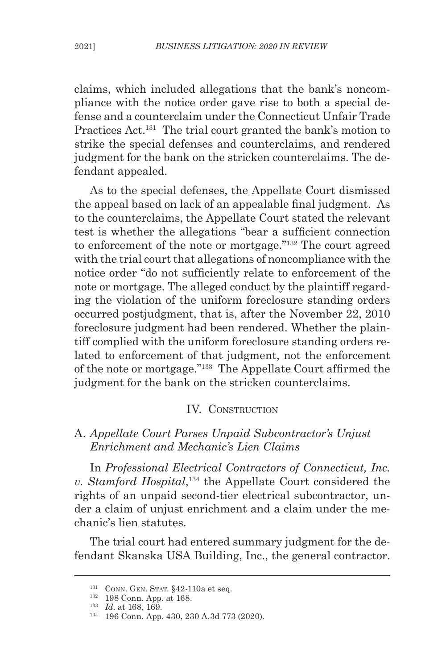claims, which included allegations that the bank's noncompliance with the notice order gave rise to both a special defense and a counterclaim under the Connecticut Unfair Trade Practices Act.<sup>131</sup> The trial court granted the bank's motion to strike the special defenses and counterclaims, and rendered judgment for the bank on the stricken counterclaims. The defendant appealed.

As to the special defenses, the Appellate Court dismissed the appeal based on lack of an appealable final judgment. As to the counterclaims, the Appellate Court stated the relevant test is whether the allegations "bear a sufficient connection to enforcement of the note or mortgage."132 The court agreed with the trial court that allegations of noncompliance with the notice order "do not sufficiently relate to enforcement of the note or mortgage. The alleged conduct by the plaintiff regarding the violation of the uniform foreclosure standing orders occurred postjudgment, that is, after the November 22, 2010 foreclosure judgment had been rendered. Whether the plaintiff complied with the uniform foreclosure standing orders related to enforcement of that judgment, not the enforcement of the note or mortgage."133 The Appellate Court affirmed the judgment for the bank on the stricken counterclaims.

#### IV. CONSTRUCTION

### A. *Appellate Court Parses Unpaid Subcontractor's Unjust Enrichment and Mechanic's Lien Claims*

In *Professional Electrical Contractors of Connecticut, Inc. v. Stamford Hospital*, 134 the Appellate Court considered the rights of an unpaid second-tier electrical subcontractor, under a claim of unjust enrichment and a claim under the mechanic's lien statutes.

The trial court had entered summary judgment for the defendant Skanska USA Building, Inc., the general contractor.

<sup>&</sup>lt;sup>131</sup> CONN. GEN. STAT. §42-110a et seq.

<sup>132</sup> 198 Conn. App. at 168.

<sup>133</sup> *Id*. at 168, 169.

<sup>134</sup> 196 Conn. App. 430, 230 A.3d 773 (2020).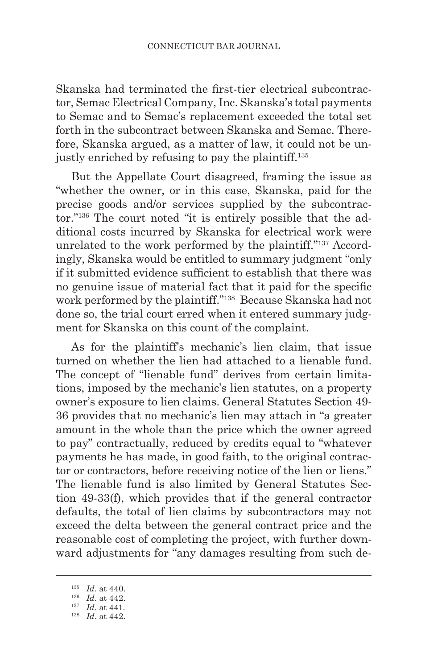Skanska had terminated the first-tier electrical subcontractor, Semac Electrical Company, Inc. Skanska's total payments to Semac and to Semac's replacement exceeded the total set forth in the subcontract between Skanska and Semac. Therefore, Skanska argued, as a matter of law, it could not be unjustly enriched by refusing to pay the plaintiff.<sup>135</sup>

But the Appellate Court disagreed, framing the issue as "whether the owner, or in this case, Skanska, paid for the precise goods and/or services supplied by the subcontractor."136 The court noted "it is entirely possible that the additional costs incurred by Skanska for electrical work were unrelated to the work performed by the plaintiff."137 Accordingly, Skanska would be entitled to summary judgment "only if it submitted evidence sufficient to establish that there was no genuine issue of material fact that it paid for the specific work performed by the plaintiff."138 Because Skanska had not done so, the trial court erred when it entered summary judgment for Skanska on this count of the complaint.

As for the plaintiff's mechanic's lien claim, that issue turned on whether the lien had attached to a lienable fund. The concept of "lienable fund" derives from certain limitations, imposed by the mechanic's lien statutes, on a property owner's exposure to lien claims. General Statutes Section 49- 36 provides that no mechanic's lien may attach in "a greater amount in the whole than the price which the owner agreed to pay" contractually, reduced by credits equal to "whatever payments he has made, in good faith, to the original contractor or contractors, before receiving notice of the lien or liens." The lienable fund is also limited by General Statutes Section 49-33(f), which provides that if the general contractor defaults, the total of lien claims by subcontractors may not exceed the delta between the general contract price and the reasonable cost of completing the project, with further downward adjustments for "any damages resulting from such de-

<sup>135</sup> *Id*. at 440.

<sup>136</sup> *Id*. at 442.

<sup>137</sup> *Id*. at 441.

<sup>138</sup> *Id*. at 442.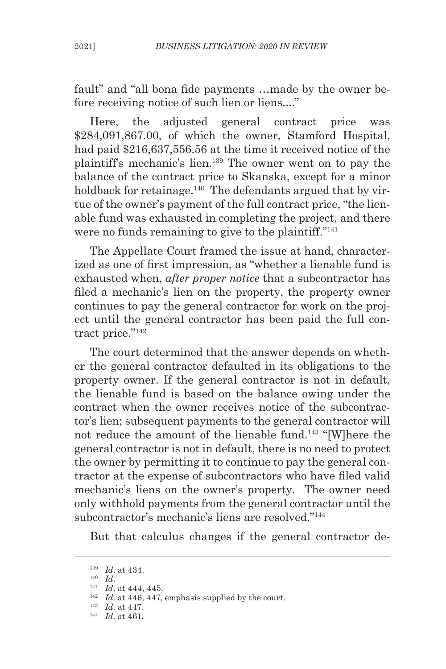fault" and "all bona fide payments …made by the owner before receiving notice of such lien or liens...."

Here, the adjusted general contract price was \$284,091,867.00, of which the owner, Stamford Hospital, had paid \$216,637,556.56 at the time it received notice of the plaintiff's mechanic's lien.139 The owner went on to pay the balance of the contract price to Skanska, except for a minor holdback for retainage.<sup>140</sup> The defendants argued that by virtue of the owner's payment of the full contract price, "the lienable fund was exhausted in completing the project, and there were no funds remaining to give to the plaintiff."141

The Appellate Court framed the issue at hand, characterized as one of first impression, as "whether a lienable fund is exhausted when, *after proper notice* that a subcontractor has filed a mechanic's lien on the property, the property owner continues to pay the general contractor for work on the project until the general contractor has been paid the full contract price."<sup>142</sup>

The court determined that the answer depends on whether the general contractor defaulted in its obligations to the property owner. If the general contractor is not in default, the lienable fund is based on the balance owing under the contract when the owner receives notice of the subcontractor's lien; subsequent payments to the general contractor will not reduce the amount of the lienable fund.<sup>143</sup> "[W]here the general contractor is not in default, there is no need to protect the owner by permitting it to continue to pay the general contractor at the expense of subcontractors who have filed valid mechanic's liens on the owner's property. The owner need only withhold payments from the general contractor until the subcontractor's mechanic's liens are resolved."144

But that calculus changes if the general contractor de-

 $\begin{array}{ll} 139 & Id. \text{ at } 434. \\ 140 & Id. \end{array}$ 

<sup>&</sup>lt;sup>141</sup> *Id.* at 444, 445.

<sup>142</sup> *Id*. at 446, 447, emphasis supplied by the court.

<sup>143</sup> *Id*. at 447.

<sup>144</sup> *Id*. at 461.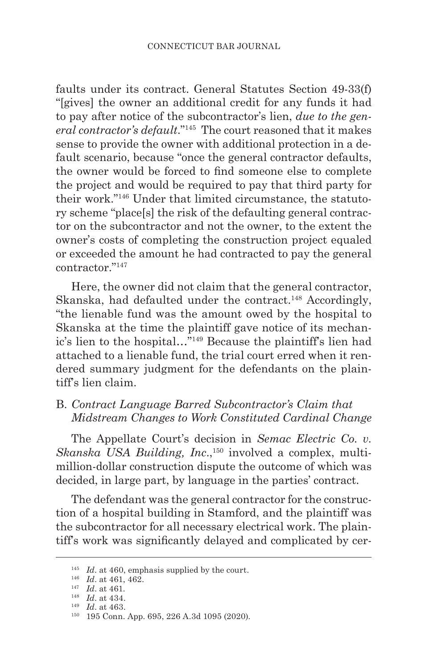faults under its contract. General Statutes Section 49-33(f) "[gives] the owner an additional credit for any funds it had to pay after notice of the subcontractor's lien, *due to the general contractor's default*."145 The court reasoned that it makes sense to provide the owner with additional protection in a default scenario, because "once the general contractor defaults, the owner would be forced to find someone else to complete the project and would be required to pay that third party for their work."146 Under that limited circumstance, the statutory scheme "place[s] the risk of the defaulting general contractor on the subcontractor and not the owner, to the extent the owner's costs of completing the construction project equaled or exceeded the amount he had contracted to pay the general contractor<sup>"147</sup>

Here, the owner did not claim that the general contractor, Skanska, had defaulted under the contract.<sup>148</sup> Accordingly, "the lienable fund was the amount owed by the hospital to Skanska at the time the plaintiff gave notice of its mechanic's lien to the hospital…"149 Because the plaintiff's lien had attached to a lienable fund, the trial court erred when it rendered summary judgment for the defendants on the plaintiff's lien claim.

## B. *Contract Language Barred Subcontractor's Claim that Midstream Changes to Work Constituted Cardinal Change*

The Appellate Court's decision in *Semac Electric Co. v. Skanska USA Building, Inc.*,<sup>150</sup> involved a complex, multimillion-dollar construction dispute the outcome of which was decided, in large part, by language in the parties' contract.

The defendant was the general contractor for the construction of a hospital building in Stamford, and the plaintiff was the subcontractor for all necessary electrical work. The plaintiff's work was significantly delayed and complicated by cer-

<sup>&</sup>lt;sup>145</sup> *Id.* at 460, emphasis supplied by the court.<br><sup>146</sup> *Id.* at 461, 462.

<sup>&</sup>lt;sup>147</sup> *Id.* at 461.

<sup>148</sup> *Id*. at 434.

<sup>149</sup> *Id*. at 463.

<sup>150</sup> 195 Conn. App. 695, 226 A.3d 1095 (2020).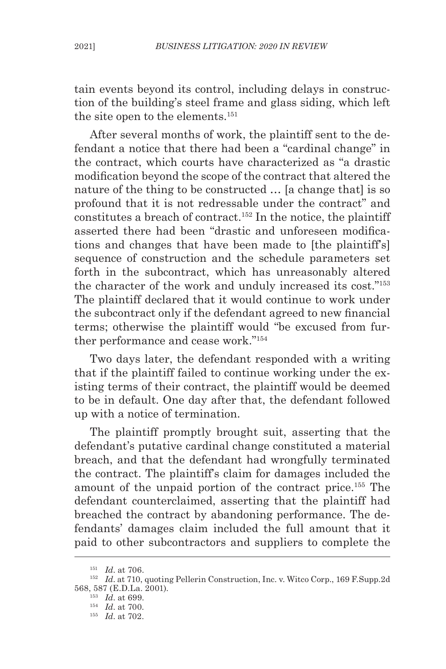tain events beyond its control, including delays in construction of the building's steel frame and glass siding, which left the site open to the elements.<sup>151</sup>

After several months of work, the plaintiff sent to the defendant a notice that there had been a "cardinal change" in the contract, which courts have characterized as "a drastic modification beyond the scope of the contract that altered the nature of the thing to be constructed ... [a change that] is so profound that it is not redressable under the contract" and constitutes a breach of contract.152 In the notice, the plaintiff asserted there had been "drastic and unforeseen modifications and changes that have been made to [the plaintiff's] sequence of construction and the schedule parameters set forth in the subcontract, which has unreasonably altered the character of the work and unduly increased its cost."153 The plaintiff declared that it would continue to work under the subcontract only if the defendant agreed to new financial terms; otherwise the plaintiff would "be excused from further performance and cease work."154

Two days later, the defendant responded with a writing that if the plaintiff failed to continue working under the existing terms of their contract, the plaintiff would be deemed to be in default. One day after that, the defendant followed up with a notice of termination.

The plaintiff promptly brought suit, asserting that the defendant's putative cardinal change constituted a material breach, and that the defendant had wrongfully terminated the contract. The plaintiff's claim for damages included the amount of the unpaid portion of the contract price.155 The defendant counterclaimed, asserting that the plaintiff had breached the contract by abandoning performance. The defendants' damages claim included the full amount that it paid to other subcontractors and suppliers to complete the

<sup>151</sup> *Id*. at 706.

<sup>&</sup>lt;sup>152</sup> *Id.* at 710, quoting Pellerin Construction, Inc. v. Witco Corp., 169 F.Supp.2d 568, 587 (E.D.La. 2001).

<sup>&</sup>lt;sup>153</sup> *Id.* at 699.<br><sup>154</sup> *Id.* at 700.

<sup>155</sup> *Id*. at 702.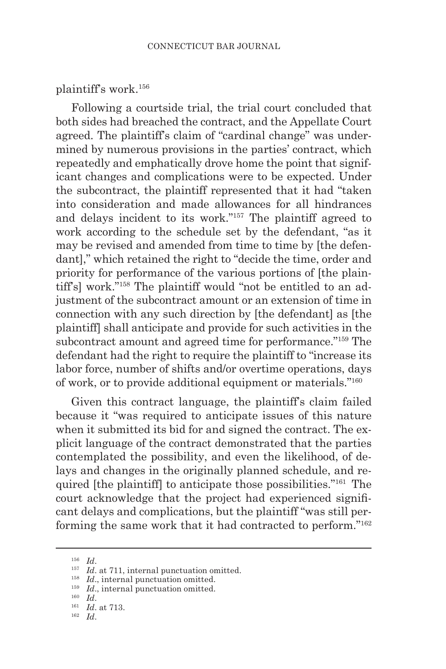plaintiff's work.156

Following a courtside trial, the trial court concluded that both sides had breached the contract, and the Appellate Court agreed. The plaintiff's claim of "cardinal change" was undermined by numerous provisions in the parties' contract, which repeatedly and emphatically drove home the point that significant changes and complications were to be expected. Under the subcontract, the plaintiff represented that it had "taken into consideration and made allowances for all hindrances and delays incident to its work."157 The plaintiff agreed to work according to the schedule set by the defendant, "as it may be revised and amended from time to time by [the defendant]," which retained the right to "decide the time, order and priority for performance of the various portions of [the plaintiff's] work."158 The plaintiff would "not be entitled to an adjustment of the subcontract amount or an extension of time in connection with any such direction by [the defendant] as [the plaintiff] shall anticipate and provide for such activities in the subcontract amount and agreed time for performance."<sup>159</sup> The defendant had the right to require the plaintiff to "increase its labor force, number of shifts and/or overtime operations, days of work, or to provide additional equipment or materials."160

Given this contract language, the plaintiff's claim failed because it "was required to anticipate issues of this nature when it submitted its bid for and signed the contract. The explicit language of the contract demonstrated that the parties contemplated the possibility, and even the likelihood, of delays and changes in the originally planned schedule, and required [the plaintiff] to anticipate those possibilities."161 The court acknowledge that the project had experienced significant delays and complications, but the plaintiff "was still performing the same work that it had contracted to perform."162

<sup>&</sup>lt;sup>156</sup> *Id.* 157 *Id.* at 711, internal punctuation omitted. <sup>158</sup> *Id.*, internal punctuation omitted.

<sup>&</sup>lt;sup>159</sup> *Id.*, internal punctuation omitted.<br><sup>160</sup> *Id.* 

<sup>&</sup>lt;sup>161</sup> *Id.* at 713.

<sup>162</sup> *Id*.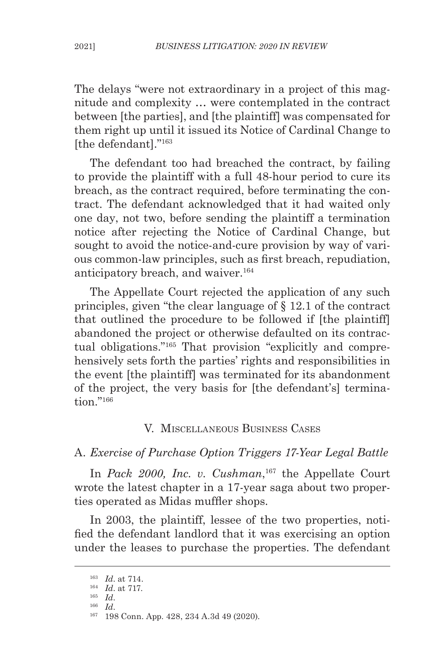The delays "were not extraordinary in a project of this magnitude and complexity … were contemplated in the contract between [the parties], and [the plaintiff] was compensated for them right up until it issued its Notice of Cardinal Change to [the defendant]."163

The defendant too had breached the contract, by failing to provide the plaintiff with a full 48-hour period to cure its breach, as the contract required, before terminating the contract. The defendant acknowledged that it had waited only one day, not two, before sending the plaintiff a termination notice after rejecting the Notice of Cardinal Change, but sought to avoid the notice-and-cure provision by way of various common-law principles, such as first breach, repudiation, anticipatory breach, and waiver.<sup>164</sup>

The Appellate Court rejected the application of any such principles, given "the clear language of § 12.1 of the contract that outlined the procedure to be followed if [the plaintiff] abandoned the project or otherwise defaulted on its contractual obligations."165 That provision "explicitly and comprehensively sets forth the parties' rights and responsibilities in the event [the plaintiff] was terminated for its abandonment of the project, the very basis for [the defendant's] termination."166

#### V. Miscellaneous Business Cases

A. *Exercise of Purchase Option Triggers 17-Year Legal Battle*

In *Pack 2000, Inc. v. Cushman*, 167 the Appellate Court wrote the latest chapter in a 17-year saga about two properties operated as Midas muffler shops.

In 2003, the plaintiff, lessee of the two properties, notified the defendant landlord that it was exercising an option under the leases to purchase the properties. The defendant

<sup>163</sup> *Id*. at 714. 164 *Id*. at 717. 165 *Id*.

<sup>166</sup> *Id*.

<sup>167</sup> 198 Conn. App. 428, 234 A.3d 49 (2020).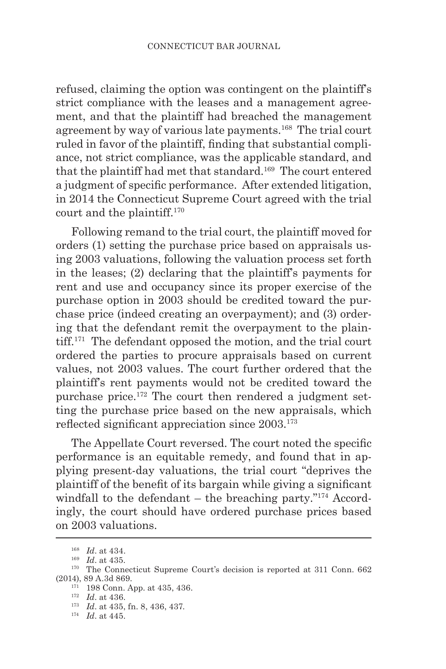refused, claiming the option was contingent on the plaintiff's strict compliance with the leases and a management agreement, and that the plaintiff had breached the management agreement by way of various late payments.168 The trial court ruled in favor of the plaintiff, finding that substantial compliance, not strict compliance, was the applicable standard, and that the plaintiff had met that standard.169 The court entered a judgment of specific performance. After extended litigation, in 2014 the Connecticut Supreme Court agreed with the trial court and the plaintiff.170

Following remand to the trial court, the plaintiff moved for orders (1) setting the purchase price based on appraisals using 2003 valuations, following the valuation process set forth in the leases; (2) declaring that the plaintiff's payments for rent and use and occupancy since its proper exercise of the purchase option in 2003 should be credited toward the purchase price (indeed creating an overpayment); and (3) ordering that the defendant remit the overpayment to the plaintiff.171 The defendant opposed the motion, and the trial court ordered the parties to procure appraisals based on current values, not 2003 values. The court further ordered that the plaintiff's rent payments would not be credited toward the purchase price.172 The court then rendered a judgment setting the purchase price based on the new appraisals, which reflected significant appreciation since 2003.<sup>173</sup>

The Appellate Court reversed. The court noted the specific performance is an equitable remedy, and found that in applying present-day valuations, the trial court "deprives the plaintiff of the benefit of its bargain while giving a significant windfall to the defendant  $-$  the breaching party."<sup>174</sup> Accordingly, the court should have ordered purchase prices based on 2003 valuations.

<sup>&</sup>lt;sup>168</sup> *Id.* at 434.<br><sup>169</sup> *Id.* at 435.<br><sup>170</sup> The Connecticut Supreme Court's decision is reported at 311 Conn. 662 (2014), 89 A.3d 869.

 $171$  198 Conn. App. at 435, 436.

<sup>172</sup> *Id*. at 436.

<sup>173</sup> *Id*. at 435, fn. 8, 436, 437.

<sup>174</sup> *Id*. at 445.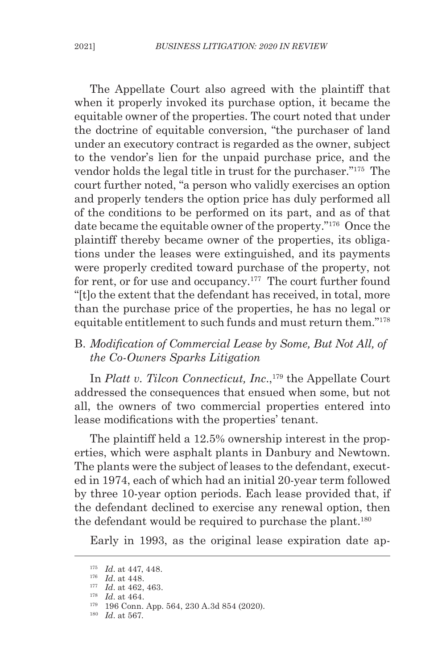The Appellate Court also agreed with the plaintiff that when it properly invoked its purchase option, it became the equitable owner of the properties. The court noted that under the doctrine of equitable conversion, "the purchaser of land under an executory contract is regarded as the owner, subject to the vendor's lien for the unpaid purchase price, and the vendor holds the legal title in trust for the purchaser."175 The court further noted, "a person who validly exercises an option and properly tenders the option price has duly performed all of the conditions to be performed on its part, and as of that date became the equitable owner of the property."176 Once the plaintiff thereby became owner of the properties, its obligations under the leases were extinguished, and its payments were properly credited toward purchase of the property, not for rent, or for use and occupancy.<sup>177</sup> The court further found "[t]o the extent that the defendant has received, in total, more than the purchase price of the properties, he has no legal or equitable entitlement to such funds and must return them."178

### B. *Modification of Commercial Lease by Some, But Not All, of the Co-Owners Sparks Litigation*

In *Platt v. Tilcon Connecticut, Inc.*,<sup>179</sup> the Appellate Court addressed the consequences that ensued when some, but not all, the owners of two commercial properties entered into lease modifications with the properties' tenant.

The plaintiff held a 12.5% ownership interest in the properties, which were asphalt plants in Danbury and Newtown. The plants were the subject of leases to the defendant, executed in 1974, each of which had an initial 20-year term followed by three 10-year option periods. Each lease provided that, if the defendant declined to exercise any renewal option, then the defendant would be required to purchase the plant.<sup>180</sup>

Early in 1993, as the original lease expiration date ap-

<sup>175</sup> *Id*. at 447, 448. 176 *Id*. at 448. 177 *Id*. at 462, 463.

<sup>178</sup> *Id*. at 464.

<sup>179</sup> 196 Conn. App. 564, 230 A.3d 854 (2020).

<sup>180</sup> *Id*. at 567.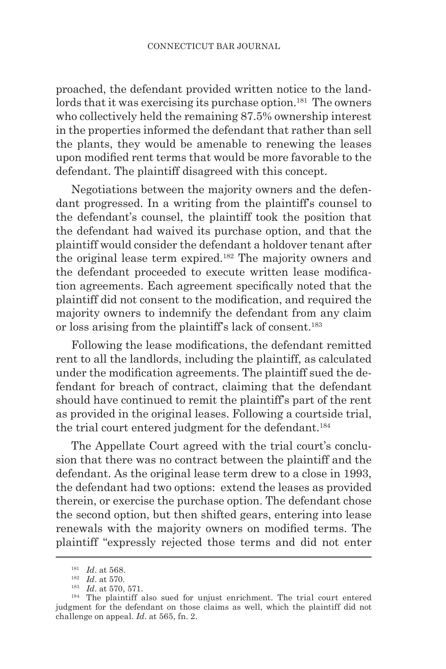proached, the defendant provided written notice to the landlords that it was exercising its purchase option.<sup>181</sup> The owners who collectively held the remaining 87.5% ownership interest in the properties informed the defendant that rather than sell the plants, they would be amenable to renewing the leases upon modified rent terms that would be more favorable to the defendant. The plaintiff disagreed with this concept.

Negotiations between the majority owners and the defendant progressed. In a writing from the plaintiff's counsel to the defendant's counsel, the plaintiff took the position that the defendant had waived its purchase option, and that the plaintiff would consider the defendant a holdover tenant after the original lease term expired.182 The majority owners and the defendant proceeded to execute written lease modification agreements. Each agreement specifically noted that the plaintiff did not consent to the modification, and required the majority owners to indemnify the defendant from any claim or loss arising from the plaintiff's lack of consent.183

Following the lease modifications, the defendant remitted rent to all the landlords, including the plaintiff, as calculated under the modification agreements. The plaintiff sued the defendant for breach of contract, claiming that the defendant should have continued to remit the plaintiff's part of the rent as provided in the original leases. Following a courtside trial, the trial court entered judgment for the defendant.<sup>184</sup>

The Appellate Court agreed with the trial court's conclusion that there was no contract between the plaintiff and the defendant. As the original lease term drew to a close in 1993, the defendant had two options: extend the leases as provided therein, or exercise the purchase option. The defendant chose the second option, but then shifted gears, entering into lease renewals with the majority owners on modified terms. The plaintiff "expressly rejected those terms and did not enter

<sup>181</sup> *Id*. at 568. 182 *Id*. at 570. 183 *Id*. at 570, 571.

<sup>184</sup> The plaintiff also sued for unjust enrichment. The trial court entered judgment for the defendant on those claims as well, which the plaintiff did not challenge on appeal. *Id*. at 565, fn. 2.